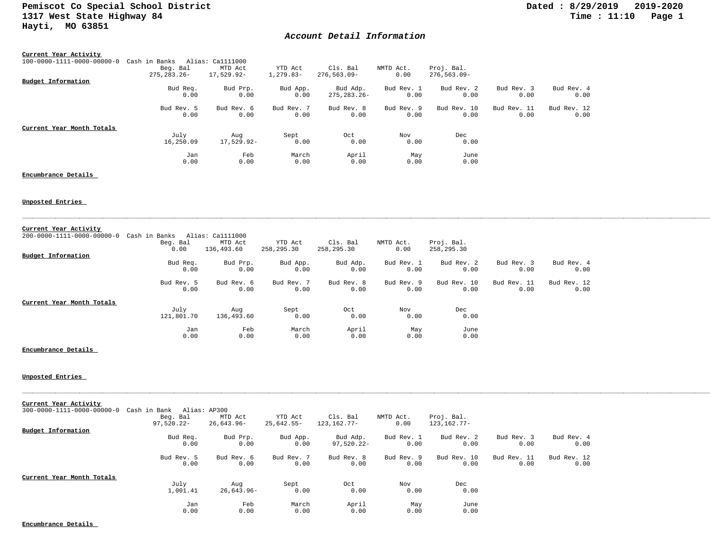## *Account Detail Information*

| Current Year Activity      |                |                  |             |                |            |                |             |             |
|----------------------------|----------------|------------------|-------------|----------------|------------|----------------|-------------|-------------|
| 100-0000-1111-0000-00000-0 | Cash in Banks  | Alias: Ca1111000 |             |                |            |                |             |             |
|                            | Beg. Bal       | MTD Act          | YTD Act     | Cls. Bal       | NMTD Act.  | Proj. Bal.     |             |             |
|                            | $275.283.26 -$ | 17,529.92-       | $1,279.83-$ | 276,563.09-    | 0.00       | $276,563.09 -$ |             |             |
| Budget Information         |                |                  |             |                |            |                |             |             |
|                            | Bud Req.       | Bud Prp.         | Bud App.    | Bud Adp.       | Bud Rev. 1 | Bud Rev. 2     | Bud Rev. 3  | Bud Rev. 4  |
|                            | 0.00           | 0.00             | 0.00        | $275.283.26 -$ | 0.00       | 0.00           | 0.00        | 0.00        |
|                            | Bud Rev. 5     | Bud Rev. 6       | Bud Rev. 7  | Bud Rev. 8     | Bud Rev. 9 | Bud Rev. 10    | Bud Rev. 11 | Bud Rev. 12 |
|                            | 0.00           | 0.00             | 0.00        | 0.00           | 0.00       | 0.00           | 0.00        | 0.00        |
| Current Year Month Totals  |                |                  |             |                |            |                |             |             |
|                            | July           | Aug              | Sept        | Oct            | Nov        | Dec            |             |             |
|                            | 16,250.09      | 17,529.92-       | 0.00        | 0.00           | 0.00       | 0.00           |             |             |
|                            | Jan            | Feb              | March       | April          | May        | June           |             |             |
|                            | 0.00           | 0.00             | 0.00        | 0.00           | 0.00       | 0.00           |             |             |

### **Encumbrance Details**

### **Unposted Entries**

| Current Year Activity      |               |                  |            |            |            |             |             |             |
|----------------------------|---------------|------------------|------------|------------|------------|-------------|-------------|-------------|
| 200-0000-1111-0000-00000-0 | Cash in Banks | Alias: Ca1111000 |            |            |            |             |             |             |
|                            | Beg. Bal      | MTD Act          | YTD Act    | Cls. Bal   | NMTD Act.  | Proj. Bal.  |             |             |
|                            | 0.00          | 136,493.60       | 258,295.30 | 258,295.30 | 0.00       | 258,295.30  |             |             |
| Budget Information         |               |                  |            |            |            |             |             |             |
|                            | Bud Req.      | Bud Prp.         | Bud App.   | Bud Adp.   | Bud Rev. 1 | Bud Rev. 2  | Bud Rev. 3  | Bud Rev. 4  |
|                            | 0.00          | 0.00             | 0.00       | 0.00       | 0.00       | 0.00        | 0.00        | 0.00        |
|                            | Bud Rev. 5    | Bud Rev. 6       | Bud Rev. 7 | Bud Rev. 8 | Bud Rev. 9 | Bud Rev. 10 | Bud Rev. 11 | Bud Rev. 12 |
|                            | 0.00          | 0.00             | 0.00       | 0.00       | 0.00       | 0.00        | 0.00        | 0.00        |
| Current Year Month Totals  |               |                  |            |            |            |             |             |             |
|                            | July          | Aug              | Sept       | Oct        | Nov        | Dec         |             |             |
|                            | 121,801.70    | 136,493.60       | 0.00       | 0.00       | 0.00       | 0.00        |             |             |
|                            | Jan           | Feb              | March      | April      | May        | June        |             |             |
|                            | 0.00          | 0.00             | 0.00       | 0.00       | 0.00       | 0.00        |             |             |

#### **Encumbrance Details**

**Unposted Entries** 

| Current Year Activity      |                    |                    |                    |                    |                    |                     |                     |                     |
|----------------------------|--------------------|--------------------|--------------------|--------------------|--------------------|---------------------|---------------------|---------------------|
| 300-0000-1111-0000-00000-0 | Cash in Bank       | Alias: AP300       |                    |                    |                    |                     |                     |                     |
|                            | Beg. Bal           | MTD Act            | YTD Act            | Cls. Bal           | NMTD Act.          | Proj. Bal.          |                     |                     |
|                            | $97,520.22 -$      | 26,643.96-         | 25,642.55-         | 123, 162. 77-      | 0.00               | 123, 162. 77-       |                     |                     |
| Budget Information         |                    |                    |                    |                    |                    |                     |                     |                     |
|                            | Bud Req.           | Bud Prp.           | Bud App.           | Bud Adp.           | Bud Rev. 1         | Bud Rev. 2          | Bud Rev. 3          | Bud Rev. 4          |
|                            | 0.00               | 0.00               | 0.00               | 97,520.22-         | 0.00               | 0.00                | 0.00                | 0.00                |
|                            | Bud Rev. 5<br>0.00 | Bud Rev. 6<br>0.00 | Bud Rev. 7<br>0.00 | Bud Rev. 8<br>0.00 | Bud Rev. 9<br>0.00 | Bud Rev. 10<br>0.00 | Bud Rev. 11<br>0.00 | Bud Rev. 12<br>0.00 |
| Current Year Month Totals  |                    |                    |                    |                    |                    |                     |                     |                     |
|                            | July               | Aug                | Sept               | Oct                | Nov                | Dec                 |                     |                     |
|                            | 1,001.41           | $26,643.96 -$      | 0.00               | 0.00               | 0.00               | 0.00                |                     |                     |
|                            | Jan                | Feb                | March              | April              | May                | June                |                     |                     |
|                            | 0.00               | 0.00               | 0.00               | 0.00               | 0.00               | 0.00                |                     |                     |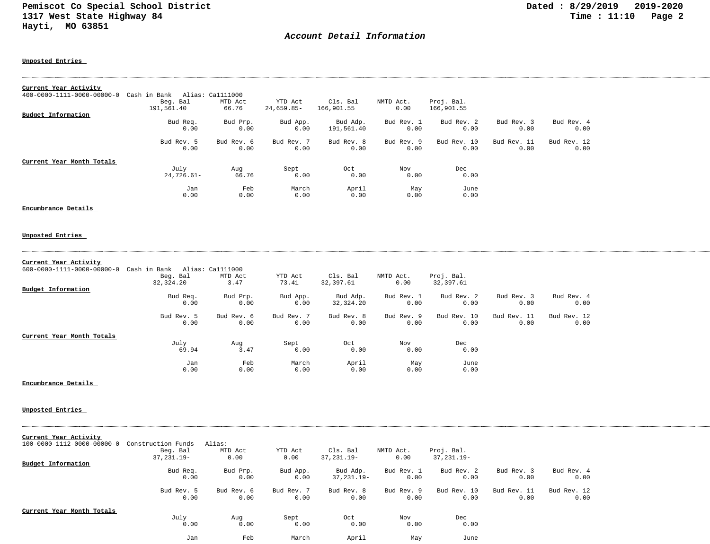## *Account Detail Information*

**Unposted Entries** 

| Current Year Activity      |              |                  |            |            |            |             |             |             |
|----------------------------|--------------|------------------|------------|------------|------------|-------------|-------------|-------------|
| 400-0000-1111-0000-00000-0 | Cash in Bank | Alias: Ca1111000 |            |            |            |             |             |             |
|                            | Beg. Bal     | MTD Act          | YTD Act    | Cls. Bal   | NMTD Act.  | Proj. Bal.  |             |             |
|                            | 191,561.40   | 66.76            | 24,659.85- | 166,901.55 | 0.00       | 166,901.55  |             |             |
| Budget Information         |              |                  |            |            |            |             |             |             |
|                            | Bud Req.     | Bud Prp.         | Bud App.   | Bud Adp.   | Bud Rev. 1 | Bud Rev. 2  | Bud Rev. 3  | Bud Rev. 4  |
|                            | 0.00         | 0.00             | 0.00       | 191,561.40 | 0.00       | 0.00        | 0.00        | 0.00        |
|                            | Bud Rev. 5   | Bud Rev. 6       | Bud Rev. 7 | Bud Rev. 8 | Bud Rev. 9 | Bud Rev. 10 | Bud Rev. 11 | Bud Rev. 12 |
|                            | 0.00         | 0.00             | 0.00       | 0.00       | 0.00       | 0.00        | 0.00        | 0.00        |
| Current Year Month Totals  |              |                  |            |            |            |             |             |             |
|                            | July         | Aug              | Sept       | Oct        | Nov        | Dec         |             |             |
|                            | $24,726.61-$ | 66.76            | 0.00       | 0.00       | 0.00       | 0.00        |             |             |
|                            | Jan          | Feb              | March      | April      | May        | June        |             |             |
|                            | 0.00         | 0.00             | 0.00       | 0.00       | 0.00       | 0.00        |             |             |

**Encumbrance Details** 

#### **Unposted Entries**

#### **Current Year Activity**

| $600 - 0000 - 1111 - 0000 - 00000 - 0$ | Cash in Bank | Alias: Ca1111000 |            |            |            |             |             |             |
|----------------------------------------|--------------|------------------|------------|------------|------------|-------------|-------------|-------------|
|                                        | Beg. Bal     | MTD Act          | YTD Act    | Cls. Bal   | NMTD Act.  | Proj. Bal.  |             |             |
|                                        | 32,324.20    | 3.47             | 73.41      | 32,397.61  | 0.00       | 32,397.61   |             |             |
| Budget Information                     |              |                  |            |            |            |             |             |             |
|                                        | Bud Req.     | Bud Prp.         | Bud App.   | Bud Adp.   | Bud Rev. 1 | Bud Rev. 2  | Bud Rev. 3  | Bud Rev. 4  |
|                                        | 0.00         | 0.00             | 0.00       | 32,324.20  | 0.00       | 0.00        | 0.00        | 0.00        |
|                                        | Bud Rev. 5   | Bud Rev. 6       | Bud Rev. 7 | Bud Rev. 8 | Bud Rev. 9 | Bud Rev. 10 | Bud Rev. 11 | Bud Rev. 12 |
|                                        | 0.00         | 0.00             | 0.00       | 0.00       | 0.00       | 0.00        | 0.00        | 0.00        |
| Current Year Month Totals              |              |                  |            |            |            |             |             |             |
|                                        | July         | Aug              | Sept       | Oct        | Nov        | Dec         |             |             |
|                                        | 69.94        | 3.47             | 0.00       | 0.00       | 0.00       | 0.00        |             |             |
|                                        | Jan          | Feb              | March      | April      | May        | June        |             |             |
|                                        | 0.00         | 0.00             | 0.00       | 0.00       | 0.00       | 0.00        |             |             |

**Encumbrance Details** 

#### **Unposted Entries**

**Current Year Activity**

| 100-0000-1112-0000-00000-0 | Construction Funds | Alias:     |            |               |            |             |             |             |
|----------------------------|--------------------|------------|------------|---------------|------------|-------------|-------------|-------------|
|                            | Beg. Bal           | MTD Act    | YTD Act    | Cls. Bal      | NMTD Act.  | Proj. Bal.  |             |             |
|                            | 37, 231.19-        | 0.00       | 0.00       | $37.231.19 -$ | 0.00       | 37, 231.19- |             |             |
| Budget Information         |                    |            |            |               |            |             |             |             |
|                            | Bud Req.           | Bud Prp.   | Bud App.   | Bud Adp.      | Bud Rev. 1 | Bud Rev. 2  | Bud Rev. 3  | Bud Rev. 4  |
|                            | 0.00               | 0.00       | 0.00       | $37.231.19 -$ | 0.00       | 0.00        | 0.00        | 0.00        |
|                            | Bud Rev. 5         | Bud Rev. 6 | Bud Rev. 7 | Bud Rev. 8    | Bud Rev. 9 | Bud Rev. 10 | Bud Rev. 11 | Bud Rev. 12 |
|                            | 0.00               | 0.00       | 0.00       | 0.00          | 0.00       | 0.00        | 0.00        | 0.00        |
| Current Year Month Totals  |                    |            |            |               |            |             |             |             |
|                            | July               | Aug        | Sept       | Oct           | Nov        | Dec         |             |             |
|                            | 0.00               | 0.00       | 0.00       | 0.00          | 0.00       | 0.00        |             |             |
|                            | Jan                | Feb        | March      | April         | May        | June        |             |             |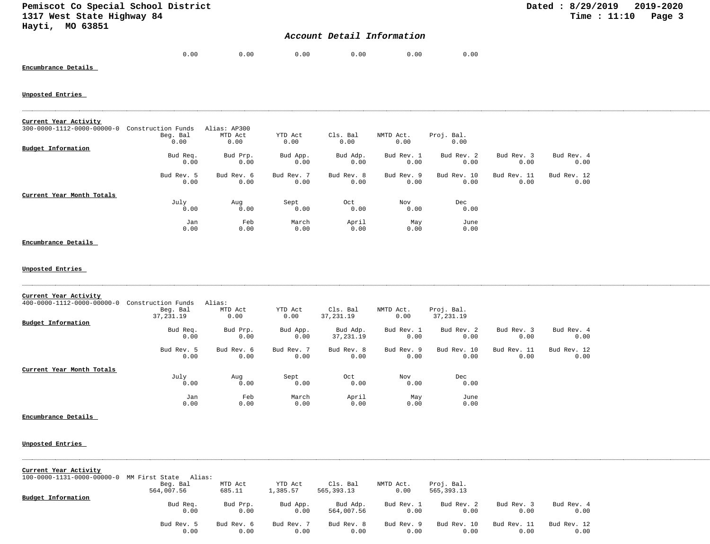## *Account Detail Information*

| .00 | 0.00 | 0.00 | 0.00 | 0.00 | 0.00 |
|-----|------|------|------|------|------|

## **Encumbrance Details**

#### **Unposted Entries**

| Current Year Activity                  |                    |              |            |            |            |             |             |             |
|----------------------------------------|--------------------|--------------|------------|------------|------------|-------------|-------------|-------------|
| $300 - 0000 - 1112 - 0000 - 00000 - 0$ | Construction Funds | Alias: AP300 |            |            |            |             |             |             |
|                                        | Beg. Bal           | MTD Act      | YTD Act    | Cls. Bal   | NMTD Act.  | Proj. Bal.  |             |             |
|                                        | 0.00               | 0.00         | 0.00       | 0.00       | 0.00       | 0.00        |             |             |
| Budget Information                     |                    |              |            |            |            |             |             |             |
|                                        | Bud Req.           | Bud Prp.     | Bud App.   | Bud Adp.   | Bud Rev. 1 | Bud Rev. 2  | Bud Rev. 3  | Bud Rev. 4  |
|                                        | 0.00               | 0.00         | 0.00       | 0.00       | 0.00       | 0.00        | 0.00        | 0.00        |
|                                        | Bud Rev. 5         | Bud Rev. 6   | Bud Rev. 7 | Bud Rev. 8 | Bud Rev. 9 | Bud Rev. 10 | Bud Rev. 11 | Bud Rev. 12 |
|                                        | 0.00               | 0.00         | 0.00       | 0.00       | 0.00       | 0.00        | 0.00        | 0.00        |
| Current Year Month Totals              |                    |              |            |            |            |             |             |             |
|                                        | July               | Aug          | Sept       | Oct        | Nov        | Dec         |             |             |
|                                        | 0.00               | 0.00         | 0.00       | 0.00       | 0.00       | 0.00        |             |             |
|                                        | Jan                | Feb          | March      | April      | May        | June        |             |             |
|                                        | 0.00               | 0.00         | 0.00       | 0.00       | 0.00       | 0.00        |             |             |

## **Encumbrance Details**

### **Unposted Entries**

| Current Year Activity<br>$400 - 0000 - 1112 - 0000 - 00000 - 0$ | Construction Funds | Alias:     |            |            |            |             |             |             |
|-----------------------------------------------------------------|--------------------|------------|------------|------------|------------|-------------|-------------|-------------|
|                                                                 | Beg. Bal           | MTD Act    | YTD Act    | Cls. Bal   | NMTD Act.  | Proj. Bal.  |             |             |
|                                                                 | 37,231.19          | 0.00       | 0.00       | 37,231.19  | 0.00       | 37, 231.19  |             |             |
| <b>Budget Information</b>                                       |                    |            |            |            |            |             |             |             |
|                                                                 | Bud Req.           | Bud Prp.   | Bud App.   | Bud Adp.   | Bud Rev. 1 | Bud Rev. 2  | Bud Rev. 3  | Bud Rev. 4  |
|                                                                 | 0.00               | 0.00       | 0.00       | 37,231.19  | 0.00       | 0.00        | 0.00        | 0.00        |
|                                                                 | Bud Rev. 5         | Bud Rev. 6 | Bud Rev. 7 | Bud Rev. 8 | Bud Rev. 9 | Bud Rev. 10 | Bud Rev. 11 | Bud Rev. 12 |
|                                                                 | 0.00               | 0.00       | 0.00       | 0.00       | 0.00       | 0.00        | 0.00        | 0.00        |
| Current Year Month Totals                                       |                    |            |            |            |            |             |             |             |
|                                                                 | July               | Aug        | Sept       | Oct        | Nov        | Dec         |             |             |
|                                                                 | 0.00               | 0.00       | 0.00       | 0.00       | 0.00       | 0.00        |             |             |
|                                                                 | Jan                | Feb        | March      | April      | May        | June        |             |             |
|                                                                 | 0.00               | 0.00       | 0.00       | 0.00       | 0.00       | 0.00        |             |             |

| Current Year Activity                            |            |            |            |            |            |              |             |             |  |
|--------------------------------------------------|------------|------------|------------|------------|------------|--------------|-------------|-------------|--|
| 100-0000-1131-0000-00000-0 MM First State Alias: |            |            |            |            |            |              |             |             |  |
|                                                  | Beg. Bal   | MTD Act    | YTD Act    | Cls. Bal   | NMTD Act.  | Proj. Bal.   |             |             |  |
|                                                  | 564,007.56 | 685.11     | 1,385.57   | 565,393.13 | 0.00       | 565, 393. 13 |             |             |  |
| Budget Information                               |            |            |            |            |            |              |             |             |  |
|                                                  | Bud Req.   | Bud Prp.   | Bud App.   | Bud Adp.   | Bud Rev. 1 | Bud Rev. 2   | Bud Rev. 3  | Bud Rev. 4  |  |
|                                                  | 0.00       | 0.00       | 0.00       | 564,007.56 | 0.00       | 0.00         | 0.00        | 0.00        |  |
|                                                  | Bud Rev. 5 | Bud Rev. 6 | Bud Rev. 7 | Bud Rev. 8 | Bud Rev. 9 | Bud Rev. 10  | Bud Rev. 11 | Bud Rev. 12 |  |
|                                                  | 0.00       | 0.00       | 0.00       | 0.00       | 0.00       | 0.00         | 0.00        | 0.00        |  |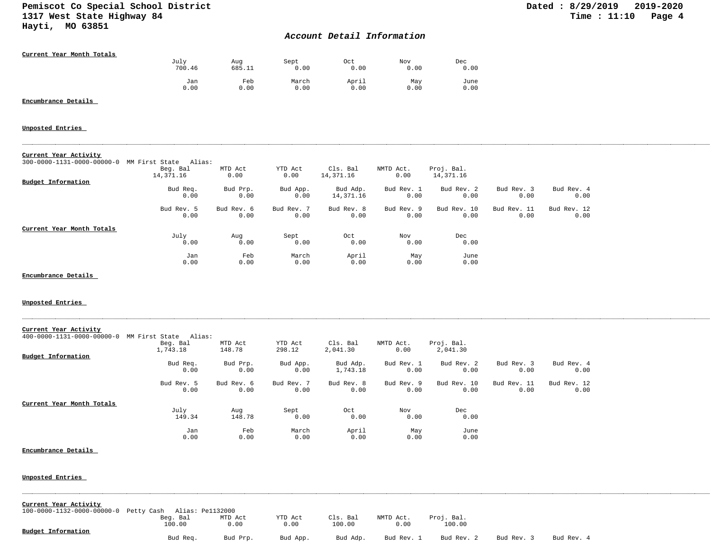## *Account Detail Information*

| Current Year Month Totals |        |        |       |       |      |      |
|---------------------------|--------|--------|-------|-------|------|------|
|                           | July   | Aug    | Sept  | 0ct   | Nov  | Dec  |
|                           | 700.46 | 685.11 | 0.00  | 0.00  | 0.00 | 0.00 |
|                           | Jan    | Feb    | March | April | May  | June |
|                           | 0.00   | 0.00   | 0.00  | 0.00  | 0.00 | 0.00 |

### **Encumbrance Details**

#### **Unposted Entries**

|  | Current Year Activity |
|--|-----------------------|
|  |                       |

| $300 - 0000 - 1131 - 0000 - 00000 - 0$ | MM First State<br>Alias: |            |            |            |            |             |             |             |
|----------------------------------------|--------------------------|------------|------------|------------|------------|-------------|-------------|-------------|
|                                        | Beg. Bal                 | MTD Act    | YTD Act    | Cls. Bal   | NMTD Act.  | Proj. Bal.  |             |             |
|                                        | 14,371.16                | 0.00       | 0.00       | 14,371.16  | 0.00       | 14,371.16   |             |             |
| Budget Information                     |                          |            |            |            |            |             |             |             |
|                                        | Bud Req.                 | Bud Prp.   | Bud App.   | Bud Adp.   | Bud Rev. 1 | Bud Rev. 2  | Bud Rev. 3  | Bud Rev. 4  |
|                                        | 0.00                     | 0.00       | 0.00       | 14,371.16  | 0.00       | 0.00        | 0.00        | 0.00        |
|                                        | Bud Rev. 5               | Bud Rev. 6 | Bud Rev. 7 | Bud Rev. 8 | Bud Rev. 9 | Bud Rev. 10 | Bud Rev. 11 | Bud Rev. 12 |
|                                        | 0.00                     | 0.00       | 0.00       | 0.00       | 0.00       | 0.00        | 0.00        | 0.00        |
| Current Year Month Totals              |                          |            |            |            |            |             |             |             |
|                                        | July                     | Aug        | Sept       | Oct        | Nov        | Dec         |             |             |
|                                        | 0.00                     | 0.00       | 0.00       | 0.00       | 0.00       | 0.00        |             |             |
|                                        | Jan                      | Feb        | March      | April      | May        | June        |             |             |
|                                        | 0.00                     | 0.00       | 0.00       | 0.00       | 0.00       | 0.00        |             |             |

**Encumbrance Details** 

#### **Unposted Entries**

| Current Year Activity<br>$400 - 0000 - 1131 - 0000 - 00000 - 0$ | MM First State<br>Alias: |            |            |            |            |             |             |             |
|-----------------------------------------------------------------|--------------------------|------------|------------|------------|------------|-------------|-------------|-------------|
|                                                                 | Beg. Bal                 | MTD Act    | YTD Act    | Cls. Bal   | NMTD Act.  | Proj. Bal.  |             |             |
|                                                                 | 1,743.18                 | 148.78     | 298.12     | 2,041.30   | 0.00       | 2,041.30    |             |             |
| Budget Information                                              |                          |            |            |            |            |             |             |             |
|                                                                 | Bud Req.                 | Bud Prp.   | Bud App.   | Bud Adp.   | Bud Rev. 1 | Bud Rev. 2  | Bud Rev. 3  | Bud Rev. 4  |
|                                                                 | 0.00                     | 0.00       | 0.00       | 1,743.18   | 0.00       | 0.00        | 0.00        | 0.00        |
|                                                                 | Bud Rev. 5               | Bud Rev. 6 | Bud Rev. 7 | Bud Rev. 8 | Bud Rev. 9 | Bud Rev. 10 | Bud Rev. 11 | Bud Rev. 12 |
|                                                                 | 0.00                     | 0.00       | 0.00       | 0.00       | 0.00       | 0.00        | 0.00        | 0.00        |
| Current Year Month Totals                                       |                          |            |            |            |            |             |             |             |
|                                                                 | July                     | Aug        | Sept       | Oct        | Nov        | Dec         |             |             |
|                                                                 | 149.34                   | 148.78     | 0.00       | 0.00       | 0.00       | 0.00        |             |             |
|                                                                 | Jan                      | Feb        | March      | April      | May        | June        |             |             |
|                                                                 | 0.00                     | 0.00       | 0.00       | 0.00       | 0.00       | 0.00        |             |             |

#### **Encumbrance Details**

| Current Year Activity                 |                  |          |          |          |            |            |            |            |  |
|---------------------------------------|------------------|----------|----------|----------|------------|------------|------------|------------|--|
| 100-0000-1132-0000-00000-0 Petty Cash | Alias: Pe1132000 |          |          |          |            |            |            |            |  |
|                                       | Beg. Bal         | MTD Act  | YTD Act  | Cls. Bal | NMTD Act.  | Proj. Bal. |            |            |  |
|                                       | 100.00           | 0.00     | 0.00     | 100.00   | 0.00       | 100.00     |            |            |  |
| Budget Information                    | Bud Req.         | Bud Prp. | Bud App. | Bud Adp. | Bud Rev. 1 | Bud Rev. 2 | Bud Rev. 3 | Bud Rev. 4 |  |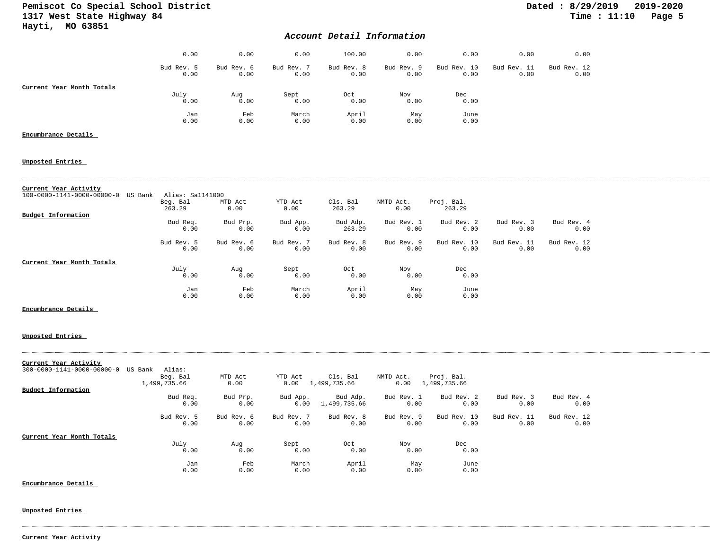# Pemiscot Co Special School District<br>1317 West State Highway 84 **Dated : 8/29/2019** 2019-2020 1317 West State Highway 84 **Hayti, MO 63851**

## *Account Detail Information*

|                           | 0.00               | 0.00               | 0.00               | 100.00             | 0.00               | 0.00                | 0.00                | 0.00                |
|---------------------------|--------------------|--------------------|--------------------|--------------------|--------------------|---------------------|---------------------|---------------------|
|                           | Bud Rev. 5<br>0.00 | Bud Rev. 6<br>0.00 | Bud Rev. 7<br>0.00 | Bud Rev. 8<br>0.00 | Bud Rev. 9<br>0.00 | Bud Rev. 10<br>0.00 | Bud Rev. 11<br>0.00 | Bud Rev. 12<br>0.00 |
| Current Year Month Totals |                    |                    |                    |                    |                    |                     |                     |                     |
|                           | July               | Aug                | Sept               | Oct                | Nov                | Dec                 |                     |                     |
|                           | 0.00               | 0.00               | 0.00               | 0.00               | 0.00               | 0.00                |                     |                     |
|                           | Jan                | Feb                | March              | April              | May                | June                |                     |                     |
|                           | 0.00               | 0.00               | 0.00               | 0.00               | 0.00               | 0.00                |                     |                     |

## **Encumbrance Details**

### **Unposted Entries**

| Current Year Activity                             |                  |            |            |            |            |             |             |             |
|---------------------------------------------------|------------------|------------|------------|------------|------------|-------------|-------------|-------------|
| $100 - 0000 - 1141 - 0000 - 00000 - 0$<br>US Bank | Alias: Sa1141000 |            |            |            |            |             |             |             |
|                                                   | Beg. Bal         | MTD Act    | YTD Act    | Cls. Bal   | NMTD Act.  | Proj. Bal.  |             |             |
|                                                   | 263.29           | 0.00       | 0.00       | 263.29     | 0.00       | 263.29      |             |             |
| Budget Information                                |                  |            |            |            |            |             |             |             |
|                                                   | Bud Req.         | Bud Prp.   | Bud App.   | Bud Adp.   | Bud Rev. 1 | Bud Rev. 2  | Bud Rev. 3  | Bud Rev. 4  |
|                                                   | 0.00             | 0.00       | 0.00       | 263.29     | 0.00       | 0.00        | 0.00        | 0.00        |
|                                                   | Bud Rev. 5       | Bud Rev. 6 | Bud Rev. 7 | Bud Rev. 8 | Bud Rev. 9 | Bud Rev. 10 | Bud Rev. 11 | Bud Rev. 12 |
|                                                   | 0.00             | 0.00       | 0.00       | 0.00       | 0.00       | 0.00        | 0.00        | 0.00        |
| Current Year Month Totals                         |                  |            |            |            |            |             |             |             |
|                                                   | July             | Aug        | Sept       | Oct        | Nov        | Dec         |             |             |
|                                                   | 0.00             | 0.00       | 0.00       | 0.00       | 0.00       | 0.00        |             |             |
|                                                   | Jan              | Feb        | March      | April      | May        | June        |             |             |
|                                                   | 0.00             | 0.00       | 0.00       | 0.00       | 0.00       | 0.00        |             |             |

### **Encumbrance Details**

### **Unposted Entries**

| Current Year Activity              |              |            |            |              |            |              |             |             |  |
|------------------------------------|--------------|------------|------------|--------------|------------|--------------|-------------|-------------|--|
| 300-0000-1141-0000-00000-0 US Bank | Alias:       |            |            |              |            |              |             |             |  |
|                                    |              |            |            |              |            |              |             |             |  |
|                                    | Beg. Bal     | MTD Act    | YTD Act    | Cls. Bal     | NMTD Act.  | Proj. Bal.   |             |             |  |
|                                    | 1,499,735.66 | 0.00       | 0.00       | 1,499,735.66 | 0.00       | 1,499,735.66 |             |             |  |
| Budget Information                 |              |            |            |              |            |              |             |             |  |
|                                    | Bud Req.     | Bud Prp.   | Bud App.   | Bud Adp.     | Bud Rev. 1 | Bud Rev. 2   | Bud Rev. 3  | Bud Rev. 4  |  |
|                                    |              |            |            |              |            |              |             |             |  |
|                                    | 0.00         | 0.00       | 0.00       | 1,499,735.66 | 0.00       | 0.00         | 0.00        | 0.00        |  |
|                                    | Bud Rev. 5   | Bud Rev. 6 | Bud Rev. 7 | Bud Rev. 8   | Bud Rev. 9 | Bud Rev. 10  | Bud Rev. 11 | Bud Rev. 12 |  |
|                                    | 0.00         | 0.00       | 0.00       | 0.00         | 0.00       | 0.00         | 0.00        | 0.00        |  |
| Current Year Month Totals          |              |            |            |              |            |              |             |             |  |
|                                    | July         | Aug        | Sept       | Oct          | Nov        | Dec          |             |             |  |
|                                    | 0.00         | 0.00       | 0.00       | 0.00         | 0.00       | 0.00         |             |             |  |
|                                    | Jan          | Feb        | March      | April        | May        | June         |             |             |  |
|                                    | 0.00         | 0.00       | 0.00       | 0.00         | 0.00       | 0.00         |             |             |  |
|                                    |              |            |            |              |            |              |             |             |  |

**Encumbrance Details** 

**Unposted Entries** 

**Current Year Activity**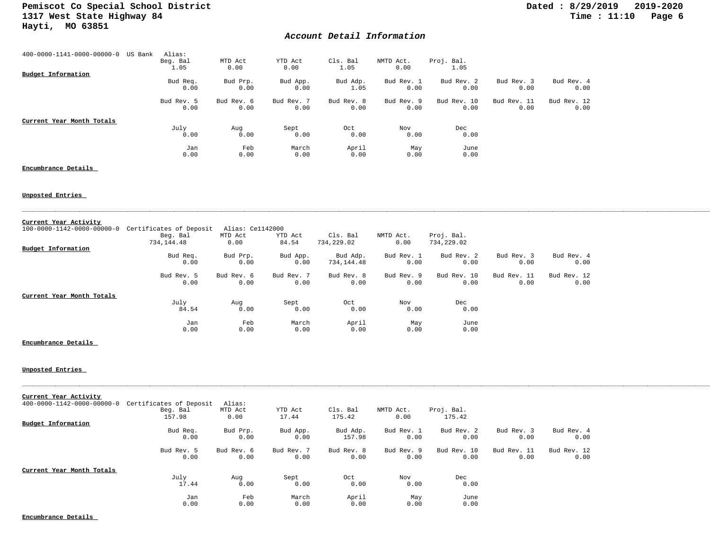## *Account Detail Information*

| 400-0000-1141-0000-00000-0 | US Bank | Alias:<br>Beg. Bal | MTD Act            | YTD Act            | Cls. Bal           | NMTD Act.          | Proj. Bal.          |                     |                     |
|----------------------------|---------|--------------------|--------------------|--------------------|--------------------|--------------------|---------------------|---------------------|---------------------|
| Budget Information         |         | 1.05               | 0.00               | 0.00               | 1.05               | 0.00               | 1.05                |                     |                     |
|                            |         | Bud Req.<br>0.00   | Bud Prp.<br>0.00   | Bud App.<br>0.00   | Bud Adp.<br>1.05   | Bud Rev. 1<br>0.00 | Bud Rev. 2<br>0.00  | Bud Rev. 3<br>0.00  | Bud Rev. 4<br>0.00  |
|                            |         | Bud Rev. 5<br>0.00 | Bud Rev. 6<br>0.00 | Bud Rev. 7<br>0.00 | Bud Rev. 8<br>0.00 | Bud Rev. 9<br>0.00 | Bud Rev. 10<br>0.00 | Bud Rev. 11<br>0.00 | Bud Rev. 12<br>0.00 |
| Current Year Month Totals  |         |                    |                    |                    |                    |                    |                     |                     |                     |
|                            |         | July<br>0.00       | Aug<br>0.00        | Sept<br>0.00       | Oct<br>0.00        | Nov<br>0.00        | Dec<br>0.00         |                     |                     |
|                            |         | Jan<br>0.00        | Feb<br>0.00        | March<br>0.00      | April<br>0.00      | May<br>0.00        | June<br>0.00        |                     |                     |

### **Encumbrance Details**

## **Unposted Entries**

| Current Year Activity                  |                         |                  |            |            |            |             |             |             |  |
|----------------------------------------|-------------------------|------------------|------------|------------|------------|-------------|-------------|-------------|--|
| $100 - 0000 - 1142 - 0000 - 00000 - 0$ | Certificates of Deposit | Alias: Ce1142000 |            |            |            |             |             |             |  |
|                                        | Beg. Bal                | MTD Act          | YTD Act    | Cls. Bal   | NMTD Act.  | Proj. Bal.  |             |             |  |
|                                        | 734,144.48              | 0.00             | 84.54      | 734,229.02 | 0.00       | 734,229.02  |             |             |  |
| Budget Information                     |                         |                  |            |            |            |             |             |             |  |
|                                        | Bud Req.                | Bud Prp.         | Bud App.   | Bud Adp.   | Bud Rev. 1 | Bud Rev. 2  | Bud Rev. 3  | Bud Rev. 4  |  |
|                                        | 0.00                    | 0.00             | 0.00       | 734,144.48 | 0.00       | 0.00        | 0.00        | 0.00        |  |
|                                        | Bud Rev. 5              | Bud Rev. 6       | Bud Rev. 7 | Bud Rev. 8 | Bud Rev. 9 | Bud Rev. 10 | Bud Rev. 11 | Bud Rev. 12 |  |
|                                        | 0.00                    | 0.00             | 0.00       | 0.00       | 0.00       | 0.00        | 0.00        | 0.00        |  |
| Current Year Month Totals              |                         |                  |            |            |            |             |             |             |  |
|                                        | July                    | Aug              | Sept       | Oct        | Nov        | Dec         |             |             |  |
|                                        | 84.54                   | 0.00             | 0.00       | 0.00       | 0.00       | 0.00        |             |             |  |
|                                        | Jan                     | Feb              | March      | April      | May        | June        |             |             |  |
|                                        | 0.00                    | 0.00             | 0.00       | 0.00       | 0.00       | 0.00        |             |             |  |

#### **Encumbrance Details**

**Unposted Entries** 

| Current Year Activity      |                         |            |            |            |            |             |             |             |
|----------------------------|-------------------------|------------|------------|------------|------------|-------------|-------------|-------------|
| 400-0000-1142-0000-00000-0 | Certificates of Deposit | Alias:     |            |            |            |             |             |             |
|                            | Beg. Bal                | MTD Act    | YTD Act    | Cls. Bal   | NMTD Act.  | Proj. Bal.  |             |             |
|                            | 157.98                  | 0.00       | 17.44      | 175.42     | 0.00       | 175.42      |             |             |
| Budget Information         |                         |            |            |            |            |             |             |             |
|                            | Bud Req.                | Bud Prp.   | Bud App.   | Bud Adp.   | Bud Rev. 1 | Bud Rev. 2  | Bud Rev. 3  | Bud Rev. 4  |
|                            | 0.00                    | 0.00       | 0.00       | 157.98     | 0.00       | 0.00        | 0.00        | 0.00        |
|                            | Bud Rev. 5              | Bud Rev. 6 | Bud Rev. 7 | Bud Rev. 8 | Bud Rev. 9 | Bud Rev. 10 | Bud Rev. 11 | Bud Rev. 12 |
|                            | 0.00                    | 0.00       | 0.00       | 0.00       | 0.00       | 0.00        | 0.00        | 0.00        |
| Current Year Month Totals  |                         |            |            |            |            |             |             |             |
|                            | July                    | Aug        | Sept       | Oct        | Nov        | Dec         |             |             |
|                            | 17.44                   | 0.00       | 0.00       | 0.00       | 0.00       | 0.00        |             |             |
|                            | Jan                     | Feb        | March      | April      | May        | June        |             |             |
|                            | 0.00                    | 0.00       | 0.00       | 0.00       | 0.00       | 0.00        |             |             |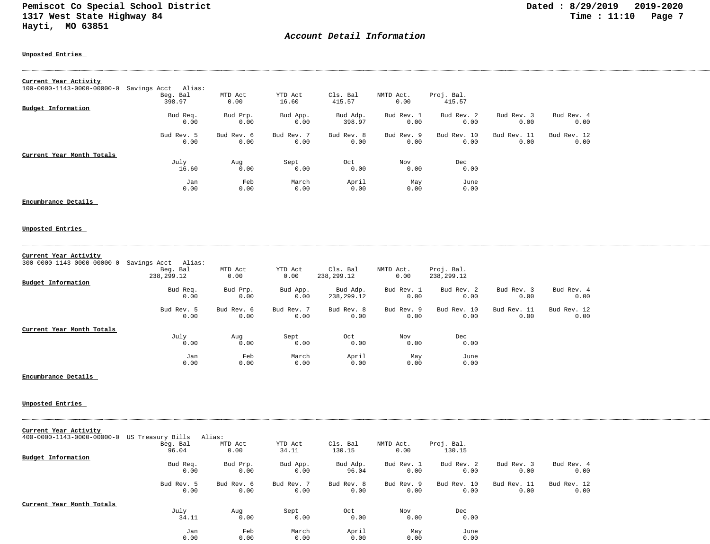## *Account Detail Information*

#### **Unposted Entries**

| Current Year Activity                  |                     |            |            |            |            |             |             |             |
|----------------------------------------|---------------------|------------|------------|------------|------------|-------------|-------------|-------------|
| $100 - 0000 - 1143 - 0000 - 00000 - 0$ | Savings Acct Alias: |            |            |            |            |             |             |             |
|                                        | Beg. Bal            | MTD Act    | YTD Act    | Cls. Bal   | NMTD Act.  | Proj. Bal.  |             |             |
|                                        | 398.97              | 0.00       | 16.60      | 415.57     | 0.00       | 415.57      |             |             |
| Budget Information                     |                     |            |            |            |            |             |             |             |
|                                        | Bud Req.            | Bud Prp.   | Bud App.   | Bud Adp.   | Bud Rev. 1 | Bud Rev. 2  | Bud Rev. 3  | Bud Rev. 4  |
|                                        | 0.00                | 0.00       | 0.00       | 398.97     | 0.00       | 0.00        | 0.00        | 0.00        |
|                                        | Bud Rev. 5          | Bud Rev. 6 | Bud Rev. 7 | Bud Rev. 8 | Bud Rev. 9 | Bud Rev. 10 | Bud Rev. 11 | Bud Rev. 12 |
|                                        | 0.00                | 0.00       | 0.00       | 0.00       | 0.00       | 0.00        | 0.00        | 0.00        |
| Current Year Month Totals              |                     |            |            |            |            |             |             |             |
|                                        | July                | Aug        | Sept       | Oct        | Nov        | Dec         |             |             |
|                                        | 16.60               | 0.00       | 0.00       | 0.00       | 0.00       | 0.00        |             |             |
|                                        | Jan                 | Feb        | March      | April      | May        | June        |             |             |
|                                        | 0.00                | 0.00       | 0.00       | 0.00       | 0.00       | 0.00        |             |             |

## **Encumbrance Details**

### **Unposted Entries**

| Current Year Activity                  |                     |            |            |            |            |             |             |             |
|----------------------------------------|---------------------|------------|------------|------------|------------|-------------|-------------|-------------|
| $300 - 0000 - 1143 - 0000 - 00000 - 0$ | Savings Acct Alias: |            |            |            |            |             |             |             |
|                                        | Beg. Bal            | MTD Act    | YTD Act    | Cls. Bal   | NMTD Act.  | Proj. Bal.  |             |             |
|                                        | 238,299.12          | 0.00       | 0.00       | 238,299.12 | 0.00       | 238,299.12  |             |             |
| Budget Information                     |                     |            |            |            |            |             |             |             |
|                                        | Bud Req.            | Bud Prp.   | Bud App.   | Bud Adp.   | Bud Rev. 1 | Bud Rev. 2  | Bud Rev. 3  | Bud Rev. 4  |
|                                        | 0.00                | 0.00       | 0.00       | 238,299.12 | 0.00       | 0.00        | 0.00        | 0.00        |
|                                        | Bud Rev. 5          | Bud Rev. 6 | Bud Rev. 7 | Bud Rev. 8 | Bud Rev. 9 | Bud Rev. 10 | Bud Rev. 11 | Bud Rev. 12 |
|                                        | 0.00                | 0.00       | 0.00       | 0.00       | 0.00       | 0.00        | 0.00        | 0.00        |
| Current Year Month Totals              |                     |            |            |            |            |             |             |             |
|                                        | July                | Aug        | Sept       | Oct        | Nov        | Dec         |             |             |
|                                        | 0.00                | 0.00       | 0.00       | 0.00       | 0.00       | 0.00        |             |             |
|                                        | Jan                 | Feb        | March      | April      | May        | June        |             |             |
|                                        | 0.00                | 0.00       | 0.00       | 0.00       | 0.00       | 0.00        |             |             |

#### **Encumbrance Details**

| Current Year Activity      |                   |            |            |            |            |             |             |             |
|----------------------------|-------------------|------------|------------|------------|------------|-------------|-------------|-------------|
| 400-0000-1143-0000-00000-0 | US Treasury Bills | Alias:     |            |            |            |             |             |             |
|                            | Beg. Bal          | MTD Act    | YTD Act    | Cls. Bal   | NMTD Act.  | Proj. Bal.  |             |             |
|                            | 96.04             | 0.00       | 34.11      | 130.15     | 0.00       | 130.15      |             |             |
| <b>Budget Information</b>  |                   |            |            |            |            |             |             |             |
|                            | Bud Req.          | Bud Prp.   | Bud App.   | Bud Adp.   | Bud Rev. 1 | Bud Rev. 2  | Bud Rev. 3  | Bud Rev. 4  |
|                            | 0.00              | 0.00       | 0.00       | 96.04      | 0.00       | 0.00        | 0.00        | 0.00        |
|                            | Bud Rev. 5        | Bud Rev. 6 | Bud Rev. 7 | Bud Rev. 8 | Bud Rev. 9 | Bud Rev. 10 | Bud Rev. 11 | Bud Rev. 12 |
|                            | 0.00              | 0.00       | 0.00       | 0.00       | 0.00       | 0.00        | 0.00        | 0.00        |
| Current Year Month Totals  |                   |            |            |            |            |             |             |             |
|                            | July              | Aug        | Sept       | Oct        | Nov        | Dec         |             |             |
|                            | 34.11             | 0.00       | 0.00       | 0.00       | 0.00       | 0.00        |             |             |
|                            | Jan               | Feb        | March      | April      | May        | June        |             |             |
|                            | 0.00              | 0.00       | 0.00       | 0.00       | 0.00       | 0.00        |             |             |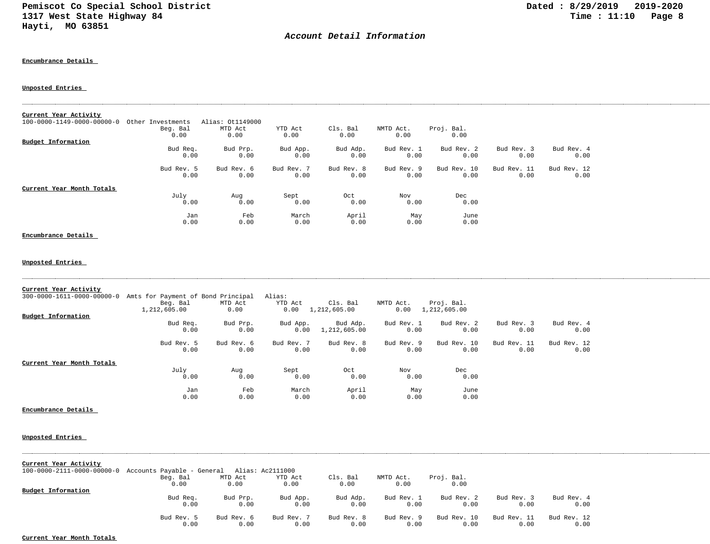## *Account Detail Information*

#### **Encumbrance Details**

### **Unposted Entries**

| 100-0000-1149-0000-00000-0 Other Investments<br>Alias: 0t1149000<br>Cls. Bal<br>Beg. Bal<br>MTD Act<br>YTD Act<br>NMTD Act.<br>Proj. Bal.<br>0.00<br>0.00<br>0.00<br>0.00<br>0.00<br>0.00<br>Budget Information<br>Bud Prp.<br>Bud Adp.<br>Bud Rev. 3<br>Bud Req.<br>Bud App.<br>Bud Rev. 1<br>Bud Rev. 2<br>Bud Rev. 4<br>0.00<br>0.00<br>0.00<br>0.00<br>0.00<br>0.00<br>0.00<br>0.00<br>Bud Rev. 5<br>Bud Rev. 6<br>Bud Rev. 7<br>Bud Rev. 8<br>Bud Rev. 9<br>Bud Rev. 10<br>Bud Rev. 11<br>Bud Rev. 12<br>0.00<br>0.00<br>0.00<br>0.00<br>0.00<br>0.00<br>0.00<br>0.00<br>Sept<br>Nov<br>Dec<br>July<br>Oct<br>Aug<br>0.00<br>0.00<br>0.00<br>0.00<br>0.00<br>0.00<br>Feb<br>March<br>April<br>June<br>Jan<br>May<br>0.00<br>0.00<br>0.00<br>0.00<br>0.00<br>0.00<br>300-0000-1611-0000-00000-0 Amts for Payment of Bond Principal<br>Alias:<br>Beg. Bal<br>MTD Act<br>YTD Act<br>Cls. Bal<br>NMTD Act.<br>Proj. Bal.<br>1,212,605.00<br>0.00<br>$0.00 \quad 1,212,605.00$<br>0.00<br>1,212,605.00<br><b>Budget Information</b><br>Bud Prp.<br>Bud Adp.<br>Bud Rev. 1<br>Bud Rev. 2<br>Bud Rev. 3<br>Bud Rev. 4<br>Bud Req.<br>Bud App.<br>0.00<br>0.00<br>0.00<br>1,212,605.00<br>0.00<br>0.00<br>0.00<br>0.00<br>Bud Rev. 5<br>Bud Rev. 6<br>Bud Rev. 7<br>Bud Rev. 8<br>Bud Rev. 9<br>Bud Rev. 10<br>Bud Rev. 11<br>Bud Rev. 12<br>0.00<br>0.00<br>0.00<br>0.00<br>0.00<br>0.00<br>0.00<br>0.00<br>July<br>Sept<br>Oct<br>Nov<br>Dec<br>Aug<br>0.00<br>0.00<br>0.00<br>0.00<br>0.00<br>0.00<br>April<br>Jan<br>Feb<br>March<br>May<br>June<br>0.00<br>0.00<br>0.00<br>0.00<br>0.00<br>0.00 |                           |  |  |  |  |  |
|---------------------------------------------------------------------------------------------------------------------------------------------------------------------------------------------------------------------------------------------------------------------------------------------------------------------------------------------------------------------------------------------------------------------------------------------------------------------------------------------------------------------------------------------------------------------------------------------------------------------------------------------------------------------------------------------------------------------------------------------------------------------------------------------------------------------------------------------------------------------------------------------------------------------------------------------------------------------------------------------------------------------------------------------------------------------------------------------------------------------------------------------------------------------------------------------------------------------------------------------------------------------------------------------------------------------------------------------------------------------------------------------------------------------------------------------------------------------------------------------------------------------------------------------------------------------------------------------------|---------------------------|--|--|--|--|--|
|                                                                                                                                                                                                                                                                                                                                                                                                                                                                                                                                                                                                                                                                                                                                                                                                                                                                                                                                                                                                                                                                                                                                                                                                                                                                                                                                                                                                                                                                                                                                                                                                   | Current Year Activity     |  |  |  |  |  |
|                                                                                                                                                                                                                                                                                                                                                                                                                                                                                                                                                                                                                                                                                                                                                                                                                                                                                                                                                                                                                                                                                                                                                                                                                                                                                                                                                                                                                                                                                                                                                                                                   |                           |  |  |  |  |  |
|                                                                                                                                                                                                                                                                                                                                                                                                                                                                                                                                                                                                                                                                                                                                                                                                                                                                                                                                                                                                                                                                                                                                                                                                                                                                                                                                                                                                                                                                                                                                                                                                   |                           |  |  |  |  |  |
|                                                                                                                                                                                                                                                                                                                                                                                                                                                                                                                                                                                                                                                                                                                                                                                                                                                                                                                                                                                                                                                                                                                                                                                                                                                                                                                                                                                                                                                                                                                                                                                                   |                           |  |  |  |  |  |
|                                                                                                                                                                                                                                                                                                                                                                                                                                                                                                                                                                                                                                                                                                                                                                                                                                                                                                                                                                                                                                                                                                                                                                                                                                                                                                                                                                                                                                                                                                                                                                                                   | Current Year Month Totals |  |  |  |  |  |
|                                                                                                                                                                                                                                                                                                                                                                                                                                                                                                                                                                                                                                                                                                                                                                                                                                                                                                                                                                                                                                                                                                                                                                                                                                                                                                                                                                                                                                                                                                                                                                                                   |                           |  |  |  |  |  |
|                                                                                                                                                                                                                                                                                                                                                                                                                                                                                                                                                                                                                                                                                                                                                                                                                                                                                                                                                                                                                                                                                                                                                                                                                                                                                                                                                                                                                                                                                                                                                                                                   |                           |  |  |  |  |  |
|                                                                                                                                                                                                                                                                                                                                                                                                                                                                                                                                                                                                                                                                                                                                                                                                                                                                                                                                                                                                                                                                                                                                                                                                                                                                                                                                                                                                                                                                                                                                                                                                   | Encumbrance Details       |  |  |  |  |  |
|                                                                                                                                                                                                                                                                                                                                                                                                                                                                                                                                                                                                                                                                                                                                                                                                                                                                                                                                                                                                                                                                                                                                                                                                                                                                                                                                                                                                                                                                                                                                                                                                   | Unposted Entries          |  |  |  |  |  |
|                                                                                                                                                                                                                                                                                                                                                                                                                                                                                                                                                                                                                                                                                                                                                                                                                                                                                                                                                                                                                                                                                                                                                                                                                                                                                                                                                                                                                                                                                                                                                                                                   | Current Year Activity     |  |  |  |  |  |
|                                                                                                                                                                                                                                                                                                                                                                                                                                                                                                                                                                                                                                                                                                                                                                                                                                                                                                                                                                                                                                                                                                                                                                                                                                                                                                                                                                                                                                                                                                                                                                                                   |                           |  |  |  |  |  |
|                                                                                                                                                                                                                                                                                                                                                                                                                                                                                                                                                                                                                                                                                                                                                                                                                                                                                                                                                                                                                                                                                                                                                                                                                                                                                                                                                                                                                                                                                                                                                                                                   |                           |  |  |  |  |  |
|                                                                                                                                                                                                                                                                                                                                                                                                                                                                                                                                                                                                                                                                                                                                                                                                                                                                                                                                                                                                                                                                                                                                                                                                                                                                                                                                                                                                                                                                                                                                                                                                   |                           |  |  |  |  |  |
|                                                                                                                                                                                                                                                                                                                                                                                                                                                                                                                                                                                                                                                                                                                                                                                                                                                                                                                                                                                                                                                                                                                                                                                                                                                                                                                                                                                                                                                                                                                                                                                                   | Current Year Month Totals |  |  |  |  |  |
|                                                                                                                                                                                                                                                                                                                                                                                                                                                                                                                                                                                                                                                                                                                                                                                                                                                                                                                                                                                                                                                                                                                                                                                                                                                                                                                                                                                                                                                                                                                                                                                                   |                           |  |  |  |  |  |
|                                                                                                                                                                                                                                                                                                                                                                                                                                                                                                                                                                                                                                                                                                                                                                                                                                                                                                                                                                                                                                                                                                                                                                                                                                                                                                                                                                                                                                                                                                                                                                                                   |                           |  |  |  |  |  |
|                                                                                                                                                                                                                                                                                                                                                                                                                                                                                                                                                                                                                                                                                                                                                                                                                                                                                                                                                                                                                                                                                                                                                                                                                                                                                                                                                                                                                                                                                                                                                                                                   | Encumbrance Details       |  |  |  |  |  |

#### **Unposted Entries**

| $100-0000-2111-0000-00000-0$ Accounts Payable - General Alias: Ac2111000 |            |            |            |            |            |             |             |             |
|--------------------------------------------------------------------------|------------|------------|------------|------------|------------|-------------|-------------|-------------|
|                                                                          | Beg. Bal   | MTD Act    | YTD Act    | Cls. Bal   | NMTD Act.  | Proj. Bal.  |             |             |
|                                                                          | 0.00       | 0.00       | 0.00       | 0.00       | 0.00       | 0.00        |             |             |
| Budget Information                                                       |            |            |            |            |            |             |             |             |
|                                                                          | Bud Req.   | Bud Prp.   | Bud App.   | Bud Adp.   | Bud Rev. 1 | Bud Rev. 2  | Bud Rev. 3  | Bud Rev. 4  |
|                                                                          | 0.00       | 0.00       | 0.00       | 0.00       | 0.00       | 0.00        | 0.00        | 0.00        |
|                                                                          | Bud Rev. 5 | Bud Rev. 6 | Bud Rev. 7 | Bud Rev. 8 | Bud Rev. 9 | Bud Rev. 10 | Bud Rev. 11 | Bud Rev. 12 |
|                                                                          | 0.00       | 0.00       | 0.00       | 0.00       | 0.00       | 0.00        | 0.00        | 0.00        |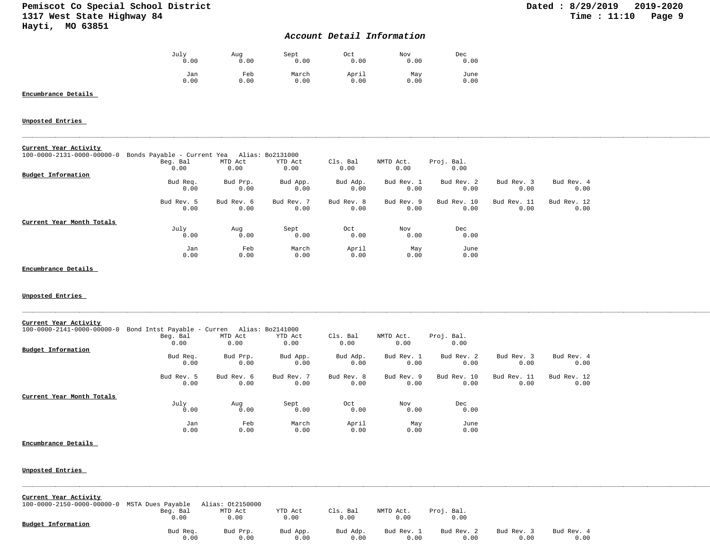## *Account Detail Information*

| July | Aug  | Sept  | Oct   | Nov  | Dec  |
|------|------|-------|-------|------|------|
| 0.00 | 0.00 | 0.00  | 0.00  | 0.00 | 0.00 |
| Jan  | Feb  | March | April | May  | June |
| 0.00 | 0.00 | 0.00  | 0.00  | 0.00 | 0.00 |

## **Encumbrance Details**

### **Unposted Entries**

|--|

| $100 - 0000 - 2131 - 0000 - 00000 - 0$ | Bonds Payable - Current Yea |            | Alias: Bo2131000 |            |            |             |             |             |
|----------------------------------------|-----------------------------|------------|------------------|------------|------------|-------------|-------------|-------------|
|                                        | Beg. Bal                    | MTD Act    | YTD Act          | Cls. Bal   | NMTD Act.  | Proj. Bal.  |             |             |
|                                        | 0.00                        | 0.00       | 0.00             | 0.00       | 0.00       | 0.00        |             |             |
| Budget Information                     |                             |            |                  |            |            |             |             |             |
|                                        | Bud Req.                    | Bud Prp.   | Bud App.         | Bud Adp.   | Bud Rev. 1 | Bud Rev. 2  | Bud Rev. 3  | Bud Rev. 4  |
|                                        | 0.00                        | 0.00       | 0.00             | 0.00       | 0.00       | 0.00        | 0.00        | 0.00        |
|                                        | Bud Rev. 5                  | Bud Rev. 6 | Bud Rev. 7       | Bud Rev. 8 | Bud Rev. 9 | Bud Rev. 10 | Bud Rev. 11 | Bud Rev. 12 |
|                                        | 0.00                        | 0.00       | 0.00             | 0.00       | 0.00       | 0.00        | 0.00        | 0.00        |
| Current Year Month Totals              |                             |            |                  |            |            |             |             |             |
|                                        | July                        | Aug        | Sept             | Oct        | Nov        | Dec         |             |             |
|                                        | 0.00                        | 0.00       | 0.00             | 0.00       | 0.00       | 0.00        |             |             |
|                                        | Jan                         | Feb        | March            | April      | May        | June        |             |             |
|                                        | 0.00                        | 0.00       | 0.00             | 0.00       | 0.00       | 0.00        |             |             |

#### **Encumbrance Details**

#### **Unposted Entries**

| Current Year Activity                  |                             |            |                  |            |            |             |             |             |
|----------------------------------------|-----------------------------|------------|------------------|------------|------------|-------------|-------------|-------------|
| $100 - 0000 - 2141 - 0000 - 00000 - 0$ | Bond Intst Payable - Curren |            | Alias: Bo2141000 |            |            |             |             |             |
|                                        | Beg. Bal                    | MTD Act    | YTD Act          | Cls. Bal   | NMTD Act.  | Proj. Bal.  |             |             |
|                                        | 0.00                        | 0.00       | 0.00             | 0.00       | 0.00       | 0.00        |             |             |
| <b>Budget Information</b>              |                             |            |                  |            |            |             |             |             |
|                                        | Bud Req.                    | Bud Prp.   | Bud App.         | Bud Adp.   | Bud Rev. 1 | Bud Rev. 2  | Bud Rev. 3  | Bud Rev. 4  |
|                                        | 0.00                        | 0.00       | 0.00             | 0.00       | 0.00       | 0.00        | 0.00        | 0.00        |
|                                        | Bud Rev. 5                  | Bud Rev. 6 | Bud Rev. 7       | Bud Rev. 8 | Bud Rev. 9 | Bud Rev. 10 | Bud Rev. 11 | Bud Rev. 12 |
|                                        | 0.00                        | 0.00       | 0.00             | 0.00       | 0.00       | 0.00        | 0.00        | 0.00        |
| Current Year Month Totals              |                             |            |                  |            |            |             |             |             |
|                                        | July                        | Aug        | Sept             | Oct        | Nov        | Dec         |             |             |
|                                        | 0.00                        | 0.00       | 0.00             | 0.00       | 0.00       | 0.00        |             |             |
|                                        | Jan                         | Feb        | March            | April      | May        | June        |             |             |
|                                        | 0.00                        | 0.00       | 0.00             | 0.00       | 0.00       | 0.00        |             |             |

#### **Encumbrance Details**

| Current Year Activity                                         |          |          |          |          |            |            |            |            |  |
|---------------------------------------------------------------|----------|----------|----------|----------|------------|------------|------------|------------|--|
| 100-0000-2150-0000-00000-0 MSTA Dues Payable Alias: 0t2150000 |          |          |          |          |            |            |            |            |  |
|                                                               | Beg. Bal | MTD Act  | YTD Act  | Cls. Bal | NMTD Act.  | Proj. Bal. |            |            |  |
|                                                               | 0.00     | 0.00     | 0.00     | 0.00     | 0.00       | 0.00       |            |            |  |
| <b>Budget Information</b>                                     |          |          |          |          |            |            |            |            |  |
|                                                               | Bud Req. | Bud Prp. | Bud App. | Bud Adp. | Bud Rev. 1 | Bud Rev. 2 | Bud Rev. 3 | Bud Rev. 4 |  |
|                                                               | 0.00     | 0.00     | 0.00     | 0.00     | 0.00       | 0.00       | 0.00       | 0.00       |  |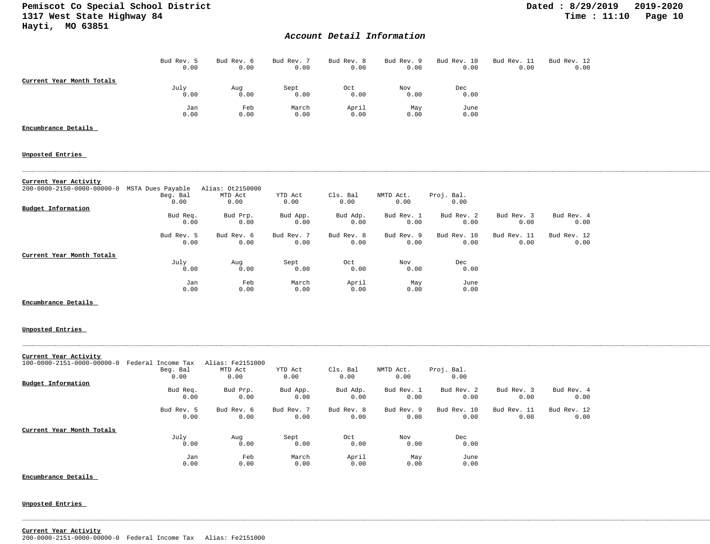## *Account Detail Information*

|                           | Bud Rev. 5 | Bud Rev. 6 | Bud Rev. 7 | Bud Rev. 8 | Bud Rev. 9 | Bud Rev. 10 | Bud Rev. 11 | Bud Rev. 12 |
|---------------------------|------------|------------|------------|------------|------------|-------------|-------------|-------------|
|                           | 0.00       | 0.00       | 0.00       | 0.00       | 0.00       | 0.00        | 0.00        | 0.00        |
| Current Year Month Totals |            |            |            |            |            |             |             |             |
|                           | July       | Aug        | Sept       | Oct        | Nov        | Dec         |             |             |
|                           | 0.00       | 0.00       | 0.00       | 0.00       | 0.00       | 0.00        |             |             |
|                           | Jan        | Feb        | March      | April      | May        | June        |             |             |
|                           | 0.00       | 0.00       | 0.00       | 0.00       | 0.00       | 0.00        |             |             |

## **Encumbrance Details**

# **Unposted Entries**

### **Current Year Activity**

| 200-0000-2150-0000-00000-0 | MSTA Dues Payable | Alias: 0t2150000 |            |            |            |             |             |             |
|----------------------------|-------------------|------------------|------------|------------|------------|-------------|-------------|-------------|
|                            | Beg. Bal          | MTD Act          | YTD Act    | Cls. Bal   | NMTD Act.  | Proj. Bal.  |             |             |
|                            | 0.00              | 0.00             | 0.00       | 0.00       | 0.00       | 0.00        |             |             |
| <b>Budget Information</b>  |                   |                  |            |            |            |             |             |             |
|                            | Bud Req.          | Bud Prp.         | Bud App.   | Bud Adp.   | Bud Rev. 1 | Bud Rev. 2  | Bud Rev. 3  | Bud Rev. 4  |
|                            | 0.00              | 0.00             | 0.00       | 0.00       | 0.00       | 0.00        | 0.00        | 0.00        |
|                            | Bud Rev. 5        | Bud Rev. 6       | Bud Rev. 7 | Bud Rev. 8 | Bud Rev. 9 | Bud Rev. 10 | Bud Rev. 11 | Bud Rev. 12 |
|                            | 0.00              | 0.00             | 0.00       | 0.00       | 0.00       | 0.00        | 0.00        | 0.00        |
| Current Year Month Totals  |                   |                  |            |            |            |             |             |             |
|                            | July              | Aug              | Sept       | Oct        | Nov        | Dec         |             |             |
|                            | 0.00              | 0.00             | 0.00       | 0.00       | 0.00       | 0.00        |             |             |
|                            | Jan               | Feb              | March      | April      | May        | June        |             |             |
|                            | 0.00              | 0.00             | 0.00       | 0.00       | 0.00       | 0.00        |             |             |

### **Encumbrance Details**

#### **Unposted Entries**

| Current Year Activity      |                    |                  |            |            |            |             |             |             |
|----------------------------|--------------------|------------------|------------|------------|------------|-------------|-------------|-------------|
| 100-0000-2151-0000-00000-0 | Federal Income Tax | Alias: Fe2151000 |            |            |            |             |             |             |
|                            | Beg. Bal           | MTD Act          | YTD Act    | Cls. Bal   | NMTD Act.  | Proj. Bal.  |             |             |
|                            | 0.00               | 0.00             | 0.00       | 0.00       | 0.00       | 0.00        |             |             |
| Budget Information         |                    |                  |            |            |            |             |             |             |
|                            | Bud Req.           | Bud Prp.         | Bud App.   | Bud Adp.   | Bud Rev. 1 | Bud Rev. 2  | Bud Rev. 3  | Bud Rev. 4  |
|                            | 0.00               | 0.00             | 0.00       | 0.00       | 0.00       | 0.00        | 0.00        | 0.00        |
|                            | Bud Rev. 5         | Bud Rev. 6       | Bud Rev. 7 | Bud Rev. 8 | Bud Rev. 9 | Bud Rev. 10 | Bud Rev. 11 | Bud Rev. 12 |
|                            | 0.00               | 0.00             | 0.00       | 0.00       | 0.00       | 0.00        | 0.00        | 0.00        |
| Current Year Month Totals  |                    |                  |            |            |            |             |             |             |
|                            | July               | Aug              | Sept       | Oct        | Nov        | Dec         |             |             |
|                            | 0.00               | 0.00             | 0.00       | 0.00       | 0.00       | 0.00        |             |             |
|                            | Jan                | Feb              | March      | April      | May        | June        |             |             |
|                            | 0.00               | 0.00             | 0.00       | 0.00       | 0.00       | 0.00        |             |             |

**Encumbrance Details** 

# **Unposted Entries**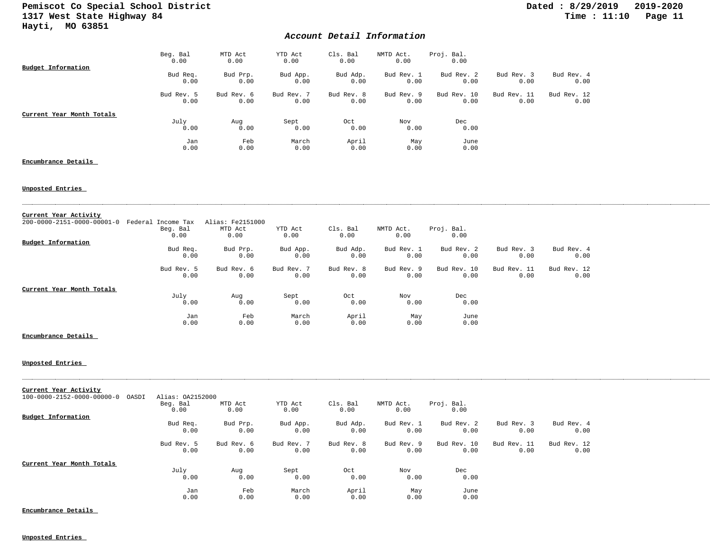## *Account Detail Information*

|                           | Beg. Bal<br>0.00   | MTD Act<br>0.00    | YTD Act<br>0.00    | Cls. Bal<br>0.00   | NMTD Act.<br>0.00  | Proj. Bal.<br>0.00  |                     |                     |
|---------------------------|--------------------|--------------------|--------------------|--------------------|--------------------|---------------------|---------------------|---------------------|
| Budget Information        | Bud Req.<br>0.00   | Bud Prp.<br>0.00   | Bud App.<br>0.00   | Bud Adp.<br>0.00   | Bud Rev. 1<br>0.00 | Bud Rev. 2<br>0.00  | Bud Rev. 3<br>0.00  | Bud Rev. 4<br>0.00  |
|                           | Bud Rev. 5<br>0.00 | Bud Rev. 6<br>0.00 | Bud Rev. 7<br>0.00 | Bud Rev. 8<br>0.00 | Bud Rev. 9<br>0.00 | Bud Rev. 10<br>0.00 | Bud Rev. 11<br>0.00 | Bud Rev. 12<br>0.00 |
| Current Year Month Totals | July<br>0.00       | Aug<br>0.00        | Sept<br>0.00       | Oct<br>0.00        | Nov<br>0.00        | Dec<br>0.00         |                     |                     |
|                           | Jan<br>0.00        | Feb<br>0.00        | March<br>0.00      | April<br>0.00      | May<br>0.00        | June<br>0.00        |                     |                     |

### **Encumbrance Details**

#### **Unposted Entries**

| Current Year Activity      |                    |                  |            |            |            |             |             |             |
|----------------------------|--------------------|------------------|------------|------------|------------|-------------|-------------|-------------|
| 200-0000-2151-0000-00001-0 | Federal Income Tax | Alias: Fe2151000 |            |            |            |             |             |             |
|                            | Beg. Bal           | MTD Act          | YTD Act    | Cls. Bal   | NMTD Act.  | Proj. Bal.  |             |             |
|                            | 0.00               | 0.00             | 0.00       | 0.00       | 0.00       | 0.00        |             |             |
| <b>Budget Information</b>  |                    |                  |            |            |            |             |             |             |
|                            | Bud Req.           | Bud Prp.         | Bud App.   | Bud Adp.   | Bud Rev. 1 | Bud Rev. 2  | Bud Rev. 3  | Bud Rev. 4  |
|                            | 0.00               | 0.00             | 0.00       | 0.00       | 0.00       | 0.00        | 0.00        | 0.00        |
|                            | Bud Rev. 5         | Bud Rev. 6       | Bud Rev. 7 | Bud Rev. 8 | Bud Rev. 9 | Bud Rev. 10 | Bud Rev. 11 | Bud Rev. 12 |
|                            | 0.00               | 0.00             | 0.00       | 0.00       | 0.00       | 0.00        | 0.00        | 0.00        |
| Current Year Month Totals  |                    |                  |            |            |            |             |             |             |
|                            | July               | Aug              | Sept       | Oct        | Nov        | Dec         |             |             |
|                            | 0.00               | 0.00             | 0.00       | 0.00       | 0.00       | 0.00        |             |             |
|                            | Jan                | Feb              | March      | April      | May        | June        |             |             |
|                            | 0.00               | 0.00             | 0.00       | 0.00       | 0.00       | 0.00        |             |             |

#### **Encumbrance Details**

#### **Unposted Entries**

| Current Year Activity                           |                    |                    |                    |                    |                    |                     |                     |                     |
|-------------------------------------------------|--------------------|--------------------|--------------------|--------------------|--------------------|---------------------|---------------------|---------------------|
| $100 - 0000 - 2152 - 0000 - 00000 - 0$<br>OASDI | Alias: 0A2152000   |                    |                    |                    |                    |                     |                     |                     |
|                                                 | Beg. Bal<br>0.00   | MTD Act<br>0.00    | YTD Act<br>0.00    | Cls. Bal<br>0.00   | NMTD Act.<br>0.00  | Proj. Bal.<br>0.00  |                     |                     |
| <b>Budget Information</b>                       |                    |                    |                    |                    |                    |                     |                     |                     |
|                                                 | Bud Req.<br>0.00   | Bud Prp.<br>0.00   | Bud App.<br>0.00   | Bud Adp.<br>0.00   | Bud Rev. 1<br>0.00 | Bud Rev. 2<br>0.00  | Bud Rev. 3<br>0.00  | Bud Rev. 4<br>0.00  |
|                                                 | Bud Rev. 5<br>0.00 | Bud Rev. 6<br>0.00 | Bud Rev. 7<br>0.00 | Bud Rev. 8<br>0.00 | Bud Rev. 9<br>0.00 | Bud Rev. 10<br>0.00 | Bud Rev. 11<br>0.00 | Bud Rev. 12<br>0.00 |
| Current Year Month Totals                       |                    |                    |                    |                    |                    |                     |                     |                     |
|                                                 | July<br>0.00       | Aug<br>0.00        | Sept<br>0.00       | Oct<br>0.00        | Nov<br>0.00        | Dec<br>0.00         |                     |                     |
|                                                 | Jan                | Feb                | March              | April              | May                | June                |                     |                     |
|                                                 | 0.00               | 0.00               | 0.00               | 0.00               | 0.00               | 0.00                |                     |                     |

**Encumbrance Details**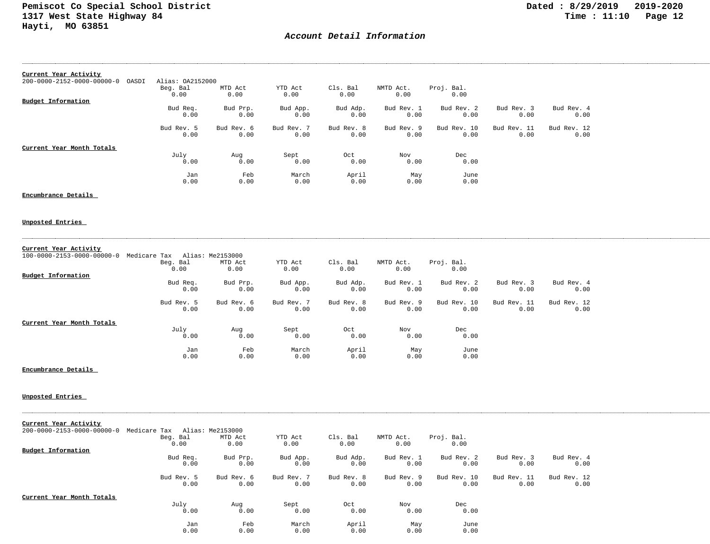## *Account Detail Information*

| Current Year Activity                           |                  |            |            |            |            |             |             |             |
|-------------------------------------------------|------------------|------------|------------|------------|------------|-------------|-------------|-------------|
| $200 - 0000 - 2152 - 0000 - 00000 - 0$<br>OASDI | Alias: 0A2152000 |            |            |            |            |             |             |             |
|                                                 | Beg. Bal         | MTD Act    | YTD Act    | Cls. Bal   | NMTD Act.  | Proj. Bal.  |             |             |
|                                                 | 0.00             | 0.00       | 0.00       | 0.00       | 0.00       | 0.00        |             |             |
| <b>Budget Information</b>                       |                  |            |            |            |            |             |             |             |
|                                                 | Bud Req.         | Bud Prp.   | Bud App.   | Bud Adp.   | Bud Rev. 1 | Bud Rev. 2  | Bud Rev. 3  | Bud Rev. 4  |
|                                                 | 0.00             | 0.00       | 0.00       | 0.00       | 0.00       | 0.00        | 0.00        | 0.00        |
|                                                 | Bud Rev. 5       | Bud Rev. 6 | Bud Rev. 7 | Bud Rev. 8 | Bud Rev. 9 | Bud Rev. 10 | Bud Rev. 11 | Bud Rev. 12 |
|                                                 | 0.00             | 0.00       | 0.00       | 0.00       | 0.00       | 0.00        | 0.00        | 0.00        |
| Current Year Month Totals                       |                  |            |            |            |            |             |             |             |
|                                                 | July             | Aug        | Sept       | Oct        | Nov        | Dec         |             |             |
|                                                 | 0.00             | 0.00       | 0.00       | 0.00       | 0.00       | 0.00        |             |             |
|                                                 | Jan              | Feb        | March      | April      | May        | June        |             |             |
|                                                 | 0.00             | 0.00       | 0.00       | 0.00       | 0.00       | 0.00        |             |             |

#### **Encumbrance Details**

#### **Unposted Entries**

| Current Year Activity                                  |            |                  |            |            |            |             |             |             |
|--------------------------------------------------------|------------|------------------|------------|------------|------------|-------------|-------------|-------------|
| $100 - 0000 - 2153 - 0000 - 00000 - 0$<br>Medicare Tax |            | Alias: Me2153000 |            |            |            |             |             |             |
|                                                        | Beg. Bal   | MTD Act          | YTD Act    | Cls. Bal   | NMTD Act.  | Proj. Bal.  |             |             |
|                                                        | 0.00       | 0.00             | 0.00       | 0.00       | 0.00       | 0.00        |             |             |
| Budget Information                                     |            |                  |            |            |            |             |             |             |
|                                                        | Bud Req.   | Bud Prp.         | Bud App.   | Bud Adp.   | Bud Rev. 1 | Bud Rev. 2  | Bud Rev. 3  | Bud Rev. 4  |
|                                                        | 0.00       | 0.00             | 0.00       | 0.00       | 0.00       | 0.00        | 0.00        | 0.00        |
|                                                        | Bud Rev. 5 | Bud Rev. 6       | Bud Rev. 7 | Bud Rev. 8 | Bud Rev. 9 | Bud Rev. 10 | Bud Rev. 11 | Bud Rev. 12 |
|                                                        | 0.00       | 0.00             | 0.00       | 0.00       | 0.00       | 0.00        | 0.00        | 0.00        |
| Current Year Month Totals                              |            |                  |            |            |            |             |             |             |
|                                                        | July       | Aug              | Sept       | Oct        | Nov        | Dec         |             |             |
|                                                        | 0.00       | 0.00             | 0.00       | 0.00       | 0.00       | 0.00        |             |             |
|                                                        | Jan        | Feb              | March      | April      | May        | June        |             |             |
|                                                        | 0.00       | 0.00             | 0.00       | 0.00       | 0.00       | 0.00        |             |             |

#### **Encumbrance Details**

| Current Year Activity<br>$200 - 0000 - 2153 - 0000 - 00000 - 0$ | Medicare Tax       | Alias: Me2153000   |                    |                    |                    |                     |                     |                     |
|-----------------------------------------------------------------|--------------------|--------------------|--------------------|--------------------|--------------------|---------------------|---------------------|---------------------|
|                                                                 | Beg. Bal           | MTD Act            | YTD Act            | Cls. Bal           | NMTD Act.          | Proj. Bal.          |                     |                     |
|                                                                 | 0.00               | 0.00               | 0.00               | 0.00               | 0.00               | 0.00                |                     |                     |
| Budget Information                                              |                    |                    |                    |                    |                    |                     |                     |                     |
|                                                                 | Bud Req.<br>0.00   | Bud Prp.<br>0.00   | Bud App.<br>0.00   | Bud Adp.<br>0.00   | Bud Rev. 1<br>0.00 | Bud Rev. 2<br>0.00  | Bud Rev. 3<br>0.00  | Bud Rev. 4<br>0.00  |
|                                                                 | Bud Rev. 5<br>0.00 | Bud Rev. 6<br>0.00 | Bud Rev. 7<br>0.00 | Bud Rev. 8<br>0.00 | Bud Rev. 9<br>0.00 | Bud Rev. 10<br>0.00 | Bud Rev. 11<br>0.00 | Bud Rev. 12<br>0.00 |
| Current Year Month Totals                                       |                    |                    |                    |                    |                    |                     |                     |                     |
|                                                                 | July               | Aug                | Sept               | Oct                | Nov                | Dec                 |                     |                     |
|                                                                 | 0.00               | 0.00               | 0.00               | 0.00               | 0.00               | 0.00                |                     |                     |
|                                                                 | Jan                | Feb                | March              | April              | May                | June                |                     |                     |
|                                                                 | 0.00               | 0.00               | 0.00               | 0.00               | 0.00               | 0.00                |                     |                     |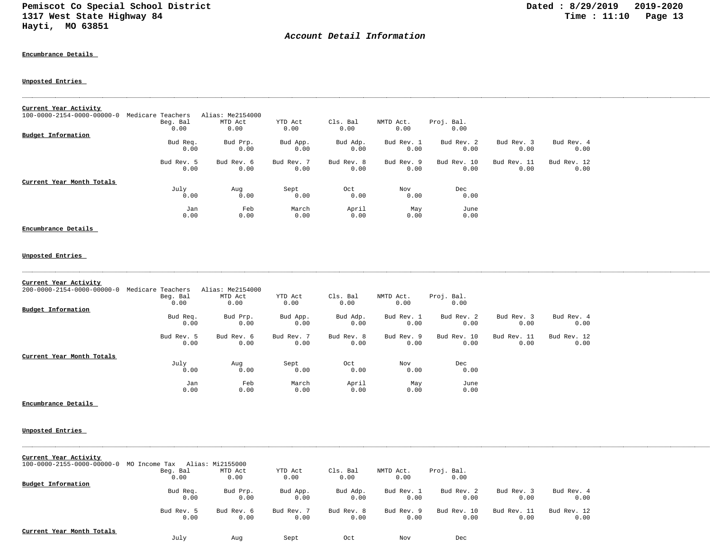## *Account Detail Information*

#### **Encumbrance Details**

### **Unposted Entries**

| Current Year Activity<br>100-0000-2154-0000-00000-0 | Medicare Teachers | Alias: Me2154000 |            |            |            |             |             |             |
|-----------------------------------------------------|-------------------|------------------|------------|------------|------------|-------------|-------------|-------------|
|                                                     | Beg. Bal          | MTD Act          | YTD Act    | Cls. Bal   | NMTD Act.  | Proj. Bal.  |             |             |
|                                                     | 0.00              | 0.00             | 0.00       | 0.00       | 0.00       | 0.00        |             |             |
| <b>Budget Information</b>                           |                   |                  |            |            |            |             |             |             |
|                                                     | Bud Req.          | Bud Prp.         | Bud App.   | Bud Adp.   | Bud Rev. 1 | Bud Rev. 2  | Bud Rev. 3  | Bud Rev. 4  |
|                                                     | 0.00              | 0.00             | 0.00       | 0.00       | 0.00       | 0.00        | 0.00        | 0.00        |
|                                                     | Bud Rev. 5        | Bud Rev. 6       | Bud Rev. 7 | Bud Rev. 8 | Bud Rev. 9 | Bud Rev. 10 | Bud Rev. 11 | Bud Rev. 12 |
|                                                     | 0.00              | 0.00             | 0.00       | 0.00       | 0.00       | 0.00        | 0.00        | 0.00        |
| Current Year Month Totals                           |                   |                  |            |            |            |             |             |             |
|                                                     | July              | Aug              | Sept       | Oct        | Nov        | Dec         |             |             |
|                                                     | 0.00              | 0.00             | 0.00       | 0.00       | 0.00       | 0.00        |             |             |
|                                                     | Jan               | Feb              | March      | April      | May        | June        |             |             |
|                                                     | 0.00              | 0.00             | 0.00       | 0.00       | 0.00       | 0.00        |             |             |
| Encumbrance Details                                 |                   |                  |            |            |            |             |             |             |

#### **Unposted Entries**

| Current Year Activity<br>$200 - 0000 - 2154 - 0000 - 00000 - 0$ | Medicare Teachers<br>Beg. Bal<br>0.00 | Alias: Me2154000<br>MTD Act<br>0.00 | YTD Act<br>0.00    | Cls. Bal<br>0.00   | NMTD Act.<br>0.00  | Proj. Bal.<br>0.00  |                     |                     |
|-----------------------------------------------------------------|---------------------------------------|-------------------------------------|--------------------|--------------------|--------------------|---------------------|---------------------|---------------------|
| Budget Information                                              |                                       |                                     |                    |                    |                    |                     |                     |                     |
|                                                                 | Bud Req.<br>0.00                      | Bud Prp.<br>0.00                    | Bud App.<br>0.00   | Bud Adp.<br>0.00   | Bud Rev. 1<br>0.00 | Bud Rev. 2<br>0.00  | Bud Rev. 3<br>0.00  | Bud Rev. 4<br>0.00  |
|                                                                 | Bud Rev. 5<br>0.00                    | Bud Rev. 6<br>0.00                  | Bud Rev. 7<br>0.00 | Bud Rev. 8<br>0.00 | Bud Rev. 9<br>0.00 | Bud Rev. 10<br>0.00 | Bud Rev. 11<br>0.00 | Bud Rev. 12<br>0.00 |
| Current Year Month Totals                                       |                                       |                                     |                    |                    |                    |                     |                     |                     |
|                                                                 | July<br>0.00                          | Aug<br>0.00                         | Sept<br>0.00       | Oct<br>0.00        | Nov<br>0.00        | Dec<br>0.00         |                     |                     |
|                                                                 | Jan<br>0.00                           | Feb<br>0.00                         | March<br>0.00      | April<br>0.00      | May<br>0.00        | June<br>0.00        |                     |                     |

### **Encumbrance Details**

### **Unposted Entries**

| Current Year Activity      |               |                  |            |            |            |             |             |             |
|----------------------------|---------------|------------------|------------|------------|------------|-------------|-------------|-------------|
| 100-0000-2155-0000-00000-0 | MO Income Tax | Alias: Mi2155000 |            |            |            |             |             |             |
|                            | Beg. Bal      | MTD Act          | YTD Act    | Cls. Bal   | NMTD Act.  | Proj. Bal.  |             |             |
|                            | 0.00          | 0.00             | 0.00       | 0.00       | 0.00       | 0.00        |             |             |
| Budget Information         |               |                  |            |            |            |             |             |             |
|                            | Bud Req.      | Bud Prp.         | Bud App.   | Bud Adp.   | Bud Rev. 1 | Bud Rev. 2  | Bud Rev. 3  | Bud Rev. 4  |
|                            | 0.00          | 0.00             | 0.00       | 0.00       | 0.00       | 0.00        | 0.00        | 0.00        |
|                            | Bud Rev. 5    | Bud Rev. 6       | Bud Rev. 7 | Bud Rev. 8 | Bud Rev. 9 | Bud Rev. 10 | Bud Rev. 11 | Bud Rev. 12 |
|                            | 0.00          | 0.00             | 0.00       | 0.00       | 0.00       | 0.00        | 0.00        | 0.00        |
| Current Year Month Totals  |               |                  |            |            |            |             |             |             |
|                            | July          | Aug              | Sept       | Oct        | Nov        | Dec         |             |             |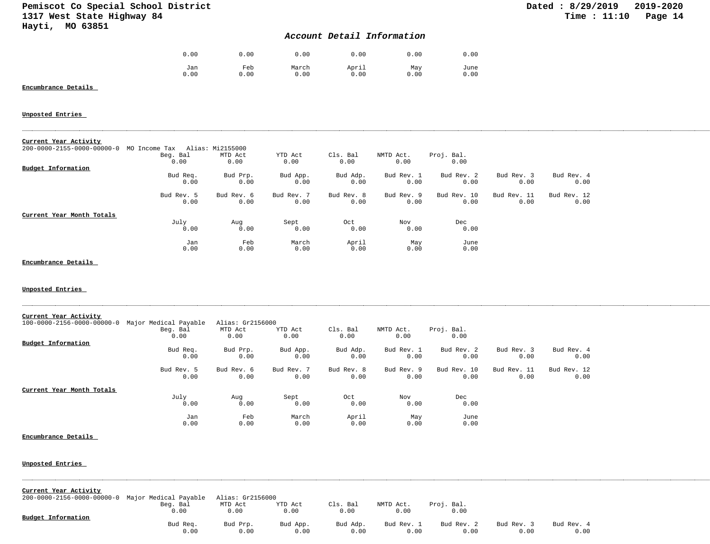## *Account Detail Information*

| 0.00 | 0.00 | 0.00  | 0.00  | 0.00 | 0.00 |
|------|------|-------|-------|------|------|
| Jan  | Feb  | March | April | May  | June |
| 0.00 | 0.00 | 0.00  | 0.00  | 0.00 | 0.00 |

## **Encumbrance Details**

#### **Unposted Entries**

| Current Year Activity<br>$200 - 0000 - 2155 - 0000 - 00000 - 0$ | MO Income Tax      | Alias: Mi2155000   |                    |                    |                    |                     |                     |                     |
|-----------------------------------------------------------------|--------------------|--------------------|--------------------|--------------------|--------------------|---------------------|---------------------|---------------------|
|                                                                 | Beg. Bal<br>0.00   | MTD Act<br>0.00    | YTD Act<br>0.00    | Cls. Bal<br>0.00   | NMTD Act.<br>0.00  | Proj. Bal.<br>0.00  |                     |                     |
| Budget Information                                              |                    |                    |                    |                    |                    |                     |                     |                     |
|                                                                 | Bud Req.<br>0.00   | Bud Prp.<br>0.00   | Bud App.<br>0.00   | Bud Adp.<br>0.00   | Bud Rev. 1<br>0.00 | Bud Rev. 2<br>0.00  | Bud Rev. 3<br>0.00  | Bud Rev. 4<br>0.00  |
|                                                                 | Bud Rev. 5<br>0.00 | Bud Rev. 6<br>0.00 | Bud Rev. 7<br>0.00 | Bud Rev. 8<br>0.00 | Bud Rev. 9<br>0.00 | Bud Rev. 10<br>0.00 | Bud Rev. 11<br>0.00 | Bud Rev. 12<br>0.00 |
| Current Year Month Totals                                       |                    |                    |                    |                    |                    |                     |                     |                     |
|                                                                 | July<br>0.00       | Aug<br>0.00        | Sept<br>0.00       | Oct<br>0.00        | Nov<br>0.00        | Dec<br>0.00         |                     |                     |
|                                                                 | Jan<br>0.00        | Feb<br>0.00        | March<br>0.00      | April<br>0.00      | May<br>0.00        | June<br>0.00        |                     |                     |

### **Encumbrance Details**

#### **Unposted Entries**

| Current Year Activity      |                       |                  |            |            |            |             |             |             |
|----------------------------|-----------------------|------------------|------------|------------|------------|-------------|-------------|-------------|
| 100-0000-2156-0000-00000-0 | Major Medical Payable | Alias: Gr2156000 |            |            |            |             |             |             |
|                            | Beg. Bal              | MTD Act          | YTD Act    | Cls. Bal   | NMTD Act.  | Proj. Bal.  |             |             |
|                            | 0.00                  | 0.00             | 0.00       | 0.00       | 0.00       | 0.00        |             |             |
| Budget Information         |                       |                  |            |            |            |             |             |             |
|                            | Bud Req.              | Bud Prp.         | Bud App.   | Bud Adp.   | Bud Rev. 1 | Bud Rev. 2  | Bud Rev. 3  | Bud Rev. 4  |
|                            | 0.00                  | 0.00             | 0.00       | 0.00       | 0.00       | 0.00        | 0.00        | 0.00        |
|                            | Bud Rev. 5            | Bud Rev. 6       | Bud Rev. 7 | Bud Rev. 8 | Bud Rev. 9 | Bud Rev. 10 | Bud Rev. 11 | Bud Rev. 12 |
|                            | 0.00                  | 0.00             | 0.00       | 0.00       | 0.00       | 0.00        | 0.00        | 0.00        |
| Current Year Month Totals  |                       |                  |            |            |            |             |             |             |
|                            | July                  | Aug              | Sept       | Oct        | Nov        | Dec         |             |             |
|                            | 0.00                  | 0.00             | 0.00       | 0.00       | 0.00       | 0.00        |             |             |
|                            | Jan                   | Feb              | March      | April      | May        | June        |             |             |
|                            | 0.00                  | 0.00             | 0.00       | 0.00       | 0.00       | 0.00        |             |             |

#### **Encumbrance Details**

| Current Year Activity                            |          |                  |          |          |            |            |            |            |  |
|--------------------------------------------------|----------|------------------|----------|----------|------------|------------|------------|------------|--|
| 200-0000-2156-0000-00000-0 Major Medical Payable |          | Alias: Gr2156000 |          |          |            |            |            |            |  |
|                                                  | Beg. Bal | MTD Act          | YTD Act  | Cls. Bal | NMTD Act.  | Proj. Bal. |            |            |  |
|                                                  | 0.00     | 0.00             | 0.00     | 0.00     | 0.00       | 0.00       |            |            |  |
| Budget Information                               |          |                  |          |          |            |            |            |            |  |
|                                                  | Bud Req. | Bud Prp.         | Bud App. | Bud Adp. | Bud Rev. 1 | Bud Rev. 2 | Bud Rev. 3 | Bud Rev. 4 |  |
|                                                  | 0.00     | 0.00             | 0.00     | 0.00     | 0.00       | 0.00       | 0.00       | 0.00       |  |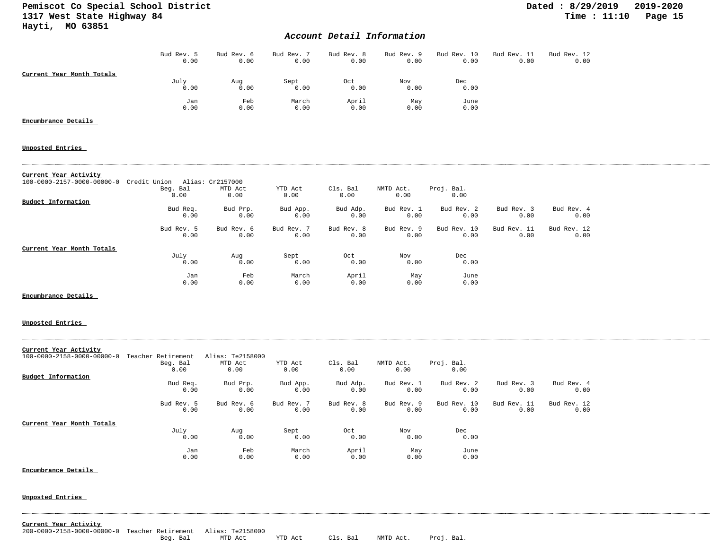## *Account Detail Information*

|                           | Bud Rev. 5<br>0.00 | Bud Rev. 6<br>0.00 | Bud Rev. 7<br>0.00 | Bud Rev. 8<br>0.00 | Bud Rev. 9<br>0.00 | Bud Rev. 10<br>0.00 | Bud Rev. 11<br>0.00 | Bud Rev. 12<br>0.00 |
|---------------------------|--------------------|--------------------|--------------------|--------------------|--------------------|---------------------|---------------------|---------------------|
| Current Year Month Totals |                    |                    |                    |                    |                    |                     |                     |                     |
|                           | July               | Aug                | Sept               | Oct                | Nov                | Dec                 |                     |                     |
|                           | 0.00               | 0.00               | 0.00               | 0.00               | 0.00               | 0.00                |                     |                     |
|                           | Jan                | Feb                | March              | April              | May                | June                |                     |                     |
|                           | 0.00               | 0.00               | 0.00               | 0.00               | 0.00               | 0.00                |                     |                     |

### **Encumbrance Details**

**Unposted Entries** 

#### **Current Year Activity**

| 100-0000-2157-0000-00000-0 | Credit Union | Alias: Cr2157000 |            |            |            |             |             |             |
|----------------------------|--------------|------------------|------------|------------|------------|-------------|-------------|-------------|
|                            | Beg. Bal     | MTD Act          | YTD Act    | Cls. Bal   | NMTD Act.  | Proj. Bal.  |             |             |
|                            | 0.00         | 0.00             | 0.00       | 0.00       | 0.00       | 0.00        |             |             |
| Budget Information         |              |                  |            |            |            |             |             |             |
|                            | Bud Req.     | Bud Prp.         | Bud App.   | Bud Adp.   | Bud Rev. 1 | Bud Rev. 2  | Bud Rev. 3  | Bud Rev. 4  |
|                            | 0.00         | 0.00             | 0.00       | 0.00       | 0.00       | 0.00        | 0.00        | 0.00        |
|                            | Bud Rev. 5   | Bud Rev. 6       | Bud Rev. 7 | Bud Rev. 8 | Bud Rev. 9 | Bud Rev. 10 | Bud Rev. 11 | Bud Rev. 12 |
|                            | 0.00         | 0.00             | 0.00       | 0.00       | 0.00       | 0.00        | 0.00        | 0.00        |
| Current Year Month Totals  |              |                  |            |            |            |             |             |             |
|                            | July         | Aug              | Sept       | Oct        | Nov        | Dec         |             |             |
|                            | 0.00         | 0.00             | 0.00       | 0.00       | 0.00       | 0.00        |             |             |
|                            | Jan          | Feb              | March      | April      | May        | June        |             |             |
|                            | 0.00         | 0.00             | 0.00       | 0.00       | 0.00       | 0.00        |             |             |

#### **Encumbrance Details**

#### **Unposted Entries**

| Current Year Activity      |                    |                  |            |            |            |             |             |             |
|----------------------------|--------------------|------------------|------------|------------|------------|-------------|-------------|-------------|
| 100-0000-2158-0000-00000-0 | Teacher Retirement | Alias: Te2158000 |            |            |            |             |             |             |
|                            | Beg. Bal           | MTD Act          | YTD Act    | Cls. Bal   | NMTD Act.  | Proj. Bal.  |             |             |
|                            | 0.00               | 0.00             | 0.00       | 0.00       | 0.00       | 0.00        |             |             |
| Budget Information         |                    |                  |            |            |            |             |             |             |
|                            | Bud Req.           | Bud Prp.         | Bud App.   | Bud Adp.   | Bud Rev. 1 | Bud Rev. 2  | Bud Rev. 3  | Bud Rev. 4  |
|                            | 0.00               | 0.00             | 0.00       | 0.00       | 0.00       | 0.00        | 0.00        | 0.00        |
|                            | Bud Rev. 5         | Bud Rev. 6       | Bud Rev. 7 | Bud Rev. 8 | Bud Rev. 9 | Bud Rev. 10 | Bud Rev. 11 | Bud Rev. 12 |
|                            | 0.00               | 0.00             | 0.00       | 0.00       | 0.00       | 0.00        | 0.00        | 0.00        |
| Current Year Month Totals  |                    |                  |            |            |            |             |             |             |
|                            | July               | Aug              | Sept       | Oct        | Nov        | Dec         |             |             |
|                            | 0.00               | 0.00             | 0.00       | 0.00       | 0.00       | 0.00        |             |             |
|                            | Jan                | Feb              | March      | April      | May        | June        |             |             |
|                            | 0.00               | 0.00             | 0.00       | 0.00       | 0.00       | 0.00        |             |             |

#### **Encumbrance Details**

#### **Unposted Entries**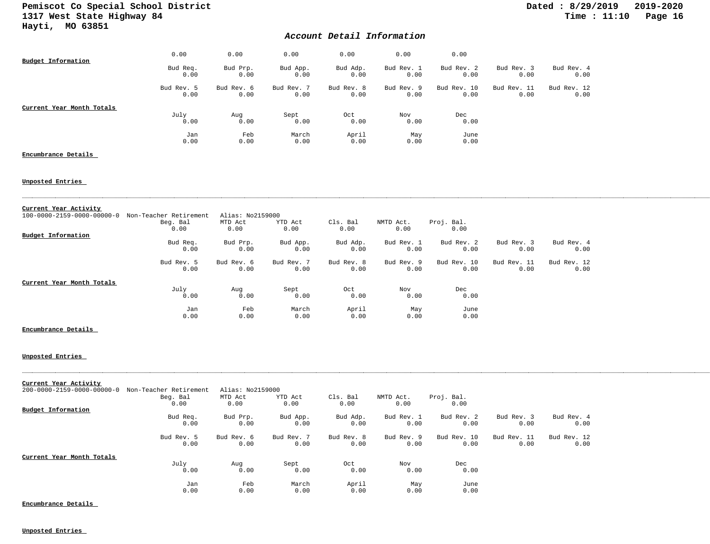## *Account Detail Information*

| Budget Information        | 0.00               | 0.00               | 0.00               | 0.00               | 0.00               | 0.00                |                     |                     |
|---------------------------|--------------------|--------------------|--------------------|--------------------|--------------------|---------------------|---------------------|---------------------|
|                           | Bud Req.<br>0.00   | Bud Prp.<br>0.00   | Bud App.<br>0.00   | Bud Adp.<br>0.00   | Bud Rev. 1<br>0.00 | Bud Rev. 2<br>0.00  | Bud Rev. 3<br>0.00  | Bud Rev. 4<br>0.00  |
|                           | Bud Rev. 5<br>0.00 | Bud Rev. 6<br>0.00 | Bud Rev. 7<br>0.00 | Bud Rev. 8<br>0.00 | Bud Rev. 9<br>0.00 | Bud Rev. 10<br>0.00 | Bud Rev. 11<br>0.00 | Bud Rev. 12<br>0.00 |
| Current Year Month Totals | July<br>0.00       | Aug<br>0.00        | Sept<br>0.00       | Oct<br>0.00        | Nov<br>0.00        | Dec<br>0.00         |                     |                     |
|                           | Jan<br>0.00        | Feb<br>0.00        | March<br>0.00      | April<br>0.00      | May<br>0.00        | June<br>0.00        |                     |                     |

### **Encumbrance Details**

#### **Unposted Entries**

| Current Year Activity                  |                        |                  |            |            |            |             |             |             |
|----------------------------------------|------------------------|------------------|------------|------------|------------|-------------|-------------|-------------|
| $100 - 0000 - 2159 - 0000 - 00000 - 0$ | Non-Teacher Retirement | Alias: No2159000 |            |            |            |             |             |             |
|                                        | Beg. Bal               | MTD Act          | YTD Act    | Cls. Bal   | NMTD Act.  | Proj. Bal.  |             |             |
|                                        | 0.00                   | 0.00             | 0.00       | 0.00       | 0.00       | 0.00        |             |             |
| Budget Information                     |                        |                  |            |            |            |             |             |             |
|                                        | Bud Req.               | Bud Prp.         | Bud App.   | Bud Adp.   | Bud Rev. 1 | Bud Rev. 2  | Bud Rev. 3  | Bud Rev. 4  |
|                                        | 0.00                   | 0.00             | 0.00       | 0.00       | 0.00       | 0.00        | 0.00        | 0.00        |
|                                        | Bud Rev. 5             | Bud Rev. 6       | Bud Rev. 7 | Bud Rev. 8 | Bud Rev. 9 | Bud Rev. 10 | Bud Rev. 11 | Bud Rev. 12 |
|                                        | 0.00                   | 0.00             | 0.00       | 0.00       | 0.00       | 0.00        | 0.00        | 0.00        |
| Current Year Month Totals              |                        |                  |            |            |            |             |             |             |
|                                        | July                   | Aug              | Sept       | Oct        | Nov        | Dec         |             |             |
|                                        | 0.00                   | 0.00             | 0.00       | 0.00       | 0.00       | 0.00        |             |             |
|                                        | Jan                    | Feb              | March      | April      | May        | June        |             |             |
|                                        | 0.00                   | 0.00             | 0.00       | 0.00       | 0.00       | 0.00        |             |             |

### **Encumbrance Details**

#### **Unposted Entries**

| Current Year Activity                  |                        |                  |            |            |            |             |             |             |
|----------------------------------------|------------------------|------------------|------------|------------|------------|-------------|-------------|-------------|
| $200 - 0000 - 2159 - 0000 - 00000 - 0$ | Non-Teacher Retirement | Alias: No2159000 |            |            |            |             |             |             |
|                                        | Beg. Bal               | MTD Act          | YTD Act    | Cls. Bal   | NMTD Act.  | Proj. Bal.  |             |             |
|                                        | 0.00                   | 0.00             | 0.00       | 0.00       | 0.00       | 0.00        |             |             |
| Budget Information                     |                        |                  |            |            |            |             |             |             |
|                                        | Bud Req.               | Bud Prp.         | Bud App.   | Bud Adp.   | Bud Rev. 1 | Bud Rev. 2  | Bud Rev. 3  | Bud Rev. 4  |
|                                        | 0.00                   | 0.00             | 0.00       | 0.00       | 0.00       | 0.00        | 0.00        | 0.00        |
|                                        | Bud Rev. 5             | Bud Rev. 6       | Bud Rev. 7 | Bud Rev. 8 | Bud Rev. 9 | Bud Rev. 10 | Bud Rev. 11 | Bud Rev. 12 |
|                                        | 0.00                   | 0.00             | 0.00       | 0.00       | 0.00       | 0.00        | 0.00        | 0.00        |
| Current Year Month Totals              |                        |                  |            |            |            |             |             |             |
|                                        | July                   | Aug              | Sept       | Oct        | Nov        | Dec         |             |             |
|                                        | 0.00                   | 0.00             | 0.00       | 0.00       | 0.00       | 0.00        |             |             |
|                                        | Jan                    | Feb              | March      | April      | May        | June        |             |             |
|                                        | 0.00                   | 0.00             | 0.00       | 0.00       | 0.00       | 0.00        |             |             |

**Encumbrance Details**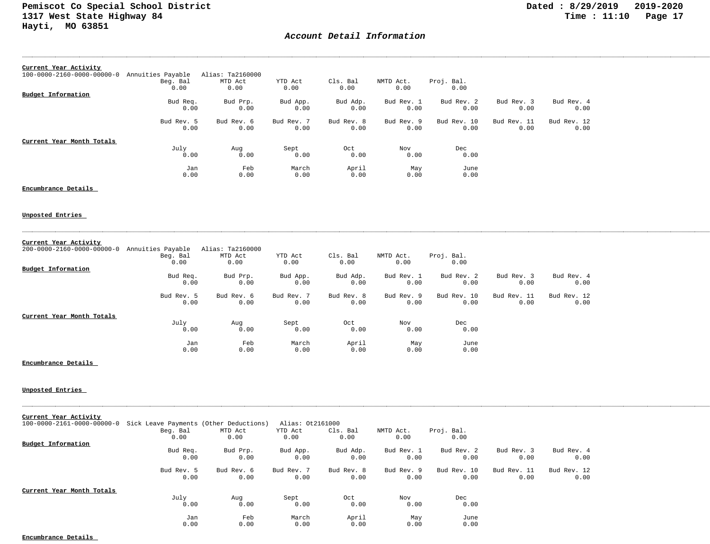## *Account Detail Information*

| Current Year Activity                  |                   |                  |            |            |            |             |             |             |
|----------------------------------------|-------------------|------------------|------------|------------|------------|-------------|-------------|-------------|
| $100 - 0000 - 2160 - 0000 - 00000 - 0$ | Annuities Payable | Alias: Ta2160000 |            |            |            |             |             |             |
|                                        | Beg. Bal          | MTD Act          | YTD Act    | Cls. Bal   | NMTD Act.  | Proj. Bal.  |             |             |
|                                        | 0.00              | 0.00             | 0.00       | 0.00       | 0.00       | 0.00        |             |             |
| Budget Information                     |                   |                  |            |            |            |             |             |             |
|                                        | Bud Req.          | Bud Prp.         | Bud App.   | Bud Adp.   | Bud Rev. 1 | Bud Rev. 2  | Bud Rev. 3  | Bud Rev. 4  |
|                                        | 0.00              | 0.00             | 0.00       | 0.00       | 0.00       | 0.00        | 0.00        | 0.00        |
|                                        | Bud Rev. 5        | Bud Rev. 6       | Bud Rev. 7 | Bud Rev. 8 | Bud Rev. 9 | Bud Rev. 10 | Bud Rev. 11 | Bud Rev. 12 |
|                                        | 0.00              | 0.00             | 0.00       | 0.00       | 0.00       | 0.00        | 0.00        | 0.00        |
| Current Year Month Totals              |                   |                  |            |            |            |             |             |             |
|                                        | July              | Aug              | Sept       | Oct        | Nov        | Dec         |             |             |
|                                        | 0.00              | 0.00             | 0.00       | 0.00       | 0.00       | 0.00        |             |             |
|                                        | Jan               | Feb              | March      | April      | May        | June        |             |             |
|                                        | 0.00              | 0.00             | 0.00       | 0.00       | 0.00       | 0.00        |             |             |

**Encumbrance Details** 

**Unposted Entries** 

## **Current Year Activity**

| 200-0000-2160-0000-00000-0 Annuities Payable |            | Alias: Ta2160000 |            |            |            |             |             |             |
|----------------------------------------------|------------|------------------|------------|------------|------------|-------------|-------------|-------------|
|                                              | Beg. Bal   | MTD Act          | YTD Act    | Cls. Bal   | NMTD Act.  | Proj. Bal.  |             |             |
|                                              | 0.00       | 0.00             | 0.00       | 0.00       | 0.00       | 0.00        |             |             |
| Budget Information                           |            |                  |            |            |            |             |             |             |
|                                              | Bud Req.   | Bud Prp.         | Bud App.   | Bud Adp.   | Bud Rev. 1 | Bud Rev. 2  | Bud Rev. 3  | Bud Rev. 4  |
|                                              | 0.00       | 0.00             | 0.00       | 0.00       | 0.00       | 0.00        | 0.00        | 0.00        |
|                                              | Bud Rev. 5 | Bud Rev. 6       | Bud Rev. 7 | Bud Rev. 8 | Bud Rev. 9 | Bud Rev. 10 | Bud Rev. 11 | Bud Rev. 12 |
|                                              | 0.00       | 0.00             | 0.00       | 0.00       | 0.00       | 0.00        | 0.00        | 0.00        |
| Current Year Month Totals                    |            |                  |            |            |            |             |             |             |
|                                              | July       | Aug              | Sept       | Oct        | Nov        | Dec         |             |             |
|                                              | 0.00       | 0.00             | 0.00       | 0.00       | 0.00       | 0.00        |             |             |
|                                              | Jan        | Feb              | March      | April      | May        | June        |             |             |
|                                              | 0.00       | 0.00             | 0.00       | 0.00       | 0.00       | 0.00        |             |             |

**Encumbrance Details** 

#### **Unposted Entries**

| Current Year Activity      |                                        |                 |                             |            |            |                    |             |             |
|----------------------------|----------------------------------------|-----------------|-----------------------------|------------|------------|--------------------|-------------|-------------|
| 100-0000-2161-0000-00000-0 | Sick Leave Payments (Other Deductions) |                 | Alias: 0t2161000<br>YTD Act | Cls. Bal   | NMTD Act.  |                    |             |             |
|                            | Beg. Bal<br>0.00                       | MTD Act<br>0.00 | 0.00                        | 0.00       | 0.00       | Proj. Bal.<br>0.00 |             |             |
| Budget Information         |                                        |                 |                             |            |            |                    |             |             |
|                            |                                        |                 |                             |            |            |                    |             |             |
|                            | Bud Req.                               | Bud Prp.        | Bud App.                    | Bud Adp.   | Bud Rev. 1 | Bud Rev. 2         | Bud Rev. 3  | Bud Rev. 4  |
|                            | 0.00                                   | 0.00            | 0.00                        | 0.00       | 0.00       | 0.00               | 0.00        | 0.00        |
|                            | Bud Rev. 5                             | Bud Rev. 6      | Bud Rev. 7                  | Bud Rev. 8 | Bud Rev. 9 | Bud Rev. 10        | Bud Rev. 11 | Bud Rev. 12 |
|                            | 0.00                                   | 0.00            | 0.00                        | 0.00       | 0.00       | 0.00               | 0.00        | 0.00        |
| Current Year Month Totals  |                                        |                 |                             |            |            |                    |             |             |
|                            | July                                   | Aug             | Sept                        | Oct        | Nov        | Dec                |             |             |
|                            | 0.00                                   | 0.00            | 0.00                        | 0.00       | 0.00       | 0.00               |             |             |
|                            | Jan                                    | Feb             | March                       | April      | May        | June               |             |             |
|                            | 0.00                                   | 0.00            | 0.00                        | 0.00       | 0.00       | 0.00               |             |             |

**Encumbrance Details**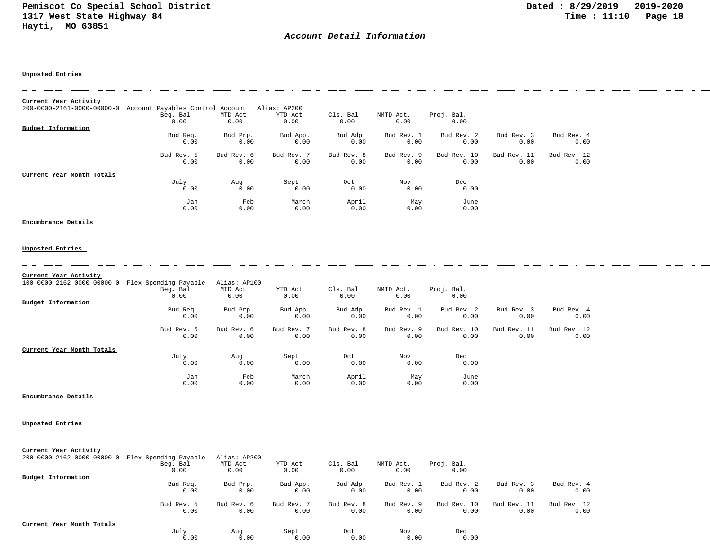## *Account Detail Information*

#### **Unposted Entries**

| Current Year Activity                  |                                  |            |              |            |            |             |             |             |
|----------------------------------------|----------------------------------|------------|--------------|------------|------------|-------------|-------------|-------------|
| $200 - 0000 - 2161 - 0000 - 00000 - 0$ | Account Payables Control Account |            | Alias: AP200 |            |            |             |             |             |
|                                        | Beg. Bal                         | MTD Act    | YTD Act      | Cls. Bal   | NMTD Act.  | Proj. Bal.  |             |             |
|                                        | 0.00                             | 0.00       | 0.00         | 0.00       | 0.00       | 0.00        |             |             |
| Budget Information                     |                                  |            |              |            |            |             |             |             |
|                                        | Bud Req.                         | Bud Prp.   | Bud App.     | Bud Adp.   | Bud Rev. 1 | Bud Rev. 2  | Bud Rev. 3  | Bud Rev. 4  |
|                                        | 0.00                             | 0.00       | 0.00         | 0.00       | 0.00       | 0.00        | 0.00        | 0.00        |
|                                        | Bud Rev. 5                       | Bud Rev. 6 | Bud Rev. 7   | Bud Rev. 8 | Bud Rev. 9 | Bud Rev. 10 | Bud Rev. 11 | Bud Rev. 12 |
|                                        | 0.00                             | 0.00       | 0.00         | 0.00       | 0.00       | 0.00        | 0.00        | 0.00        |
| Current Year Month Totals              |                                  |            |              |            |            |             |             |             |
|                                        | July                             | Aug        | Sept         | Oct        | Nov        | Dec         |             |             |
|                                        | 0.00                             | 0.00       | 0.00         | 0.00       | 0.00       | 0.00        |             |             |
|                                        | Jan                              | Feb        | March        | April      | May        | June        |             |             |
|                                        | 0.00                             | 0.00       | 0.00         | 0.00       | 0.00       | 0.00        |             |             |

#### **Encumbrance Details**

#### **Unposted Entries**

| Current Year Activity      |                       |              |            |            |            |             |             |             |
|----------------------------|-----------------------|--------------|------------|------------|------------|-------------|-------------|-------------|
| 100-0000-2162-0000-00000-0 | Flex Spending Payable | Alias: AP100 |            |            |            |             |             |             |
|                            | Beg. Bal              | MTD Act      | YTD Act    | Cls. Bal   | NMTD Act.  | Proj. Bal.  |             |             |
|                            | 0.00                  | 0.00         | 0.00       | 0.00       | 0.00       | 0.00        |             |             |
| Budget Information         |                       |              |            |            |            |             |             |             |
|                            | Bud Req.              | Bud Prp.     | Bud App.   | Bud Adp.   | Bud Rev. 1 | Bud Rev. 2  | Bud Rev. 3  | Bud Rev. 4  |
|                            | 0.00                  | 0.00         | 0.00       | 0.00       | 0.00       | 0.00        | 0.00        | 0.00        |
|                            | Bud Rev. 5            | Bud Rev. 6   | Bud Rev. 7 | Bud Rev. 8 | Bud Rev. 9 | Bud Rev. 10 | Bud Rev. 11 | Bud Rev. 12 |
|                            | 0.00                  | 0.00         | 0.00       | 0.00       | 0.00       | 0.00        | 0.00        | 0.00        |
| Current Year Month Totals  |                       |              |            |            |            |             |             |             |
|                            | July                  | Aug          | Sept       | Oct        | Nov        | Dec         |             |             |
|                            | 0.00                  | 0.00         | 0.00       | 0.00       | 0.00       | 0.00        |             |             |
|                            | Jan                   | Feb          | March      | April      | May        | June        |             |             |
|                            | 0.00                  | 0.00         | 0.00       | 0.00       | 0.00       | 0.00        |             |             |

**Encumbrance Details** 

| Current Year Activity<br>$200 - 0000 - 2162 - 0000 - 00000 - 0$ | Flex Spending Payable<br>Beg. Bal<br>0.00 | Alias: AP200<br>MTD Act<br>0.00 | YTD Act<br>0.00 | Cls. Bal<br>0.00 | NMTD Act.<br>0.00 | Proj. Bal.<br>0.00 |             |             |
|-----------------------------------------------------------------|-------------------------------------------|---------------------------------|-----------------|------------------|-------------------|--------------------|-------------|-------------|
| Budget Information                                              |                                           |                                 |                 |                  |                   |                    |             |             |
|                                                                 | Bud Req.                                  | Bud Prp.                        | Bud App.        | Bud Adp.         | Bud Rev. 1        | Bud Rev. 2         | Bud Rev. 3  | Bud Rev. 4  |
|                                                                 | 0.00                                      | 0.00                            | 0.00            | 0.00             | 0.00              | 0.00               | 0.00        | 0.00        |
|                                                                 |                                           |                                 |                 |                  |                   |                    |             |             |
|                                                                 | Bud Rev. 5                                | Bud Rev. 6                      | Bud Rev. 7      | Bud Rev. 8       | Bud Rev. 9        | Bud Rev. 10        | Bud Rev. 11 | Bud Rev. 12 |
|                                                                 | 0.00                                      | 0.00                            | 0.00            | 0.00             | 0.00              | 0.00               | 0.00        | 0.00        |
| Current Year Month Totals                                       | July                                      | Aug                             | Sept            | Oct              | Nov               | Dec                |             |             |
|                                                                 | 0.00                                      | 0.00                            | 0.00            | 0.00             | 0.00              | 0.00               |             |             |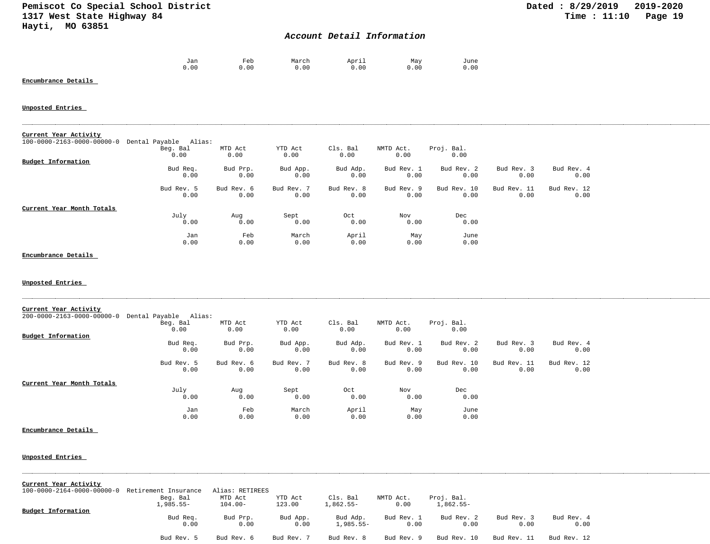## *Account Detail Information*

| Jan  | Feb  | March | April | May          | June |
|------|------|-------|-------|--------------|------|
| 0.00 | 0.00 | 0.00  |       | 0.00<br>0.00 | 0.00 |

**Encumbrance Details** 

### **Unposted Entries**

| Current Year Activity                            |            |            |            |            |            |             |             |             |
|--------------------------------------------------|------------|------------|------------|------------|------------|-------------|-------------|-------------|
|                                                  |            |            |            |            |            |             |             |             |
| 100-0000-2163-0000-00000-0 Dental Payable Alias: |            |            |            |            |            |             |             |             |
|                                                  | Beg. Bal   | MTD Act    | YTD Act    | Cls. Bal   | NMTD Act.  | Proj. Bal.  |             |             |
|                                                  | 0.00       | 0.00       | 0.00       | 0.00       | 0.00       | 0.00        |             |             |
| Budget Information                               |            |            |            |            |            |             |             |             |
|                                                  | Bud Req.   | Bud Prp.   | Bud App.   | Bud Adp.   | Bud Rev. 1 | Bud Rev. 2  | Bud Rev. 3  | Bud Rev. 4  |
|                                                  | 0.00       | 0.00       | 0.00       | 0.00       | 0.00       | 0.00        | 0.00        | 0.00        |
|                                                  |            |            |            |            |            |             |             |             |
|                                                  | Bud Rev. 5 | Bud Rev. 6 | Bud Rev. 7 | Bud Rev. 8 | Bud Rev. 9 | Bud Rev. 10 | Bud Rev. 11 | Bud Rev. 12 |
|                                                  | 0.00       | 0.00       | 0.00       | 0.00       | 0.00       | 0.00        | 0.00        | 0.00        |
|                                                  |            |            |            |            |            |             |             |             |
| Current Year Month Totals                        |            |            |            |            |            |             |             |             |
|                                                  |            |            |            |            |            |             |             |             |
|                                                  | July       | Aug        | Sept       | Oct        | Nov        | Dec         |             |             |
|                                                  | 0.00       | 0.00       | 0.00       | 0.00       | 0.00       | 0.00        |             |             |
|                                                  | Jan        | Feb        | March      | April      | May        | June        |             |             |
|                                                  | 0.00       | 0.00       | 0.00       | 0.00       | 0.00       | 0.00        |             |             |
|                                                  |            |            |            |            |            |             |             |             |

#### **Encumbrance Details**

**Unposted Entries** 

| Current Year Activity      |                       |                    |                    |                    |                    |                     |                     |                     |  |
|----------------------------|-----------------------|--------------------|--------------------|--------------------|--------------------|---------------------|---------------------|---------------------|--|
| 200-0000-2163-0000-00000-0 | Dental Payable Alias: |                    |                    |                    |                    |                     |                     |                     |  |
|                            | Beg. Bal<br>0.00      | MTD Act<br>0.00    | YTD Act<br>0.00    | Cls. Bal<br>0.00   | NMTD Act.<br>0.00  | Proj. Bal.<br>0.00  |                     |                     |  |
| Budget Information         |                       |                    |                    |                    |                    |                     |                     |                     |  |
|                            | Bud Req.<br>0.00      | Bud Prp.<br>0.00   | Bud App.<br>0.00   | Bud Adp.<br>0.00   | Bud Rev. 1<br>0.00 | Bud Rev. 2<br>0.00  | Bud Rev. 3<br>0.00  | Bud Rev. 4<br>0.00  |  |
|                            | Bud Rev. 5<br>0.00    | Bud Rev. 6<br>0.00 | Bud Rev. 7<br>0.00 | Bud Rev. 8<br>0.00 | Bud Rev. 9<br>0.00 | Bud Rev. 10<br>0.00 | Bud Rev. 11<br>0.00 | Bud Rev. 12<br>0.00 |  |
| Current Year Month Totals  |                       |                    |                    |                    |                    |                     |                     |                     |  |
|                            | July<br>0.00          | Aug<br>0.00        | Sept<br>0.00       | Oct<br>0.00        | Nov<br>0.00        | Dec<br>0.00         |                     |                     |  |
|                            | Jan<br>0.00           | Feb<br>0.00        | March<br>0.00      | April<br>0.00      | May<br>0.00        | June<br>0.00        |                     |                     |  |

### **Encumbrance Details**

**Unposted Entries** 

|  |  | Current Year Activity |
|--|--|-----------------------|
|--|--|-----------------------|

| 100-0000-2164-0000-00000-0 Retirement Insurance |             | Alias: RETIREES |            |            |            |             |             |             |
|-------------------------------------------------|-------------|-----------------|------------|------------|------------|-------------|-------------|-------------|
|                                                 | Beg. Bal    | MTD Act         | YTD Act    | Cls. Bal   | NMTD Act.  | Proj. Bal.  |             |             |
|                                                 | $1,985.55-$ | $104.00 -$      | 123.00     | 1,862.55-  | 0.00       | $1,862.55-$ |             |             |
| <b>Budget Information</b>                       |             |                 |            |            |            |             |             |             |
|                                                 | Bud Req.    | Bud Prp.        | Bud App.   | Bud Adp.   | Bud Rev. 1 | Bud Rev. 2  | Bud Rev. 3  | Bud Rev. 4  |
|                                                 | 0.00        | 0.00            | 0.00       | 1,985.55-  | 0.00       | 0.00        | 0.00        | 0.00        |
|                                                 | Bud Rev. 5  | Bud Rev. 6      | Bud Rev. 7 | Bud Rev. 8 | Bud Rev. 9 | Bud Rev. 10 | Bud Rev. 11 | Bud Rev. 12 |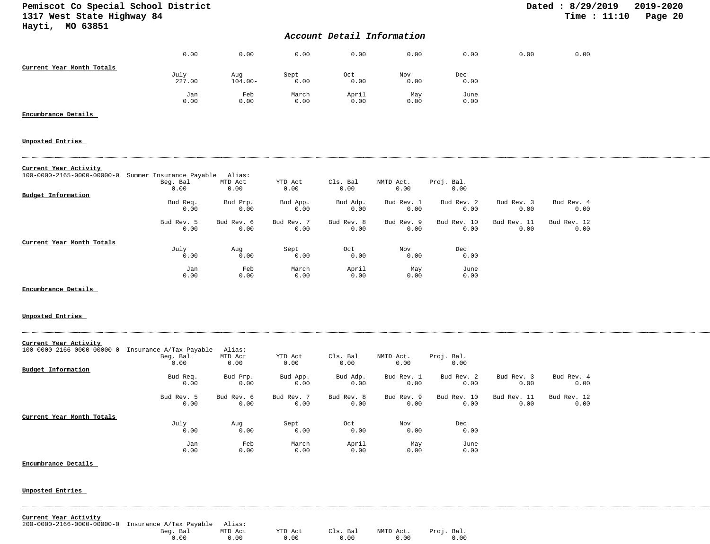## *Account Detail Information*

|                           | 0.00           | 0.00              | 0.00          | 0.00          | 0.00        | 0.00         | 0.00 | 0.00 |
|---------------------------|----------------|-------------------|---------------|---------------|-------------|--------------|------|------|
| Current Year Month Totals | July<br>227.00 | Aug<br>$104.00 -$ | Sept<br>0.00  | Oct<br>0.00   | Nov<br>0.00 | Dec<br>0.00  |      |      |
|                           | Jan<br>0.00    | Feb<br>0.00       | March<br>0.00 | April<br>0.00 | May<br>0.00 | June<br>0.00 |      |      |

#### **Encumbrance Details**

#### **Unposted Entries**

#### **Current Year Activity**

| 100-0000-2165-0000-00000-0 Summer Insurance Payable |            | Alias:     |            |            |            |             |             |             |
|-----------------------------------------------------|------------|------------|------------|------------|------------|-------------|-------------|-------------|
|                                                     | Beg. Bal   | MTD Act    | YTD Act    | Cls. Bal   | NMTD Act.  | Proj. Bal.  |             |             |
|                                                     | 0.00       | 0.00       | 0.00       | 0.00       | 0.00       | 0.00        |             |             |
| Budget Information                                  |            |            |            |            |            |             |             |             |
|                                                     | Bud Req.   | Bud Prp.   | Bud App.   | Bud Adp.   | Bud Rev. 1 | Bud Rev. 2  | Bud Rev. 3  | Bud Rev. 4  |
|                                                     | 0.00       | 0.00       | 0.00       | 0.00       | 0.00       | 0.00        | 0.00        | 0.00        |
|                                                     | Bud Rev. 5 | Bud Rev. 6 | Bud Rev. 7 | Bud Rev. 8 | Bud Rev. 9 | Bud Rev. 10 | Bud Rev. 11 | Bud Rev. 12 |
|                                                     | 0.00       | 0.00       | 0.00       | 0.00       | 0.00       | 0.00        | 0.00        | 0.00        |
| Current Year Month Totals                           |            |            |            |            |            |             |             |             |
|                                                     | July       | Aug        | Sept       | Oct        | Nov        | Dec         |             |             |
|                                                     | 0.00       | 0.00       | 0.00       | 0.00       | 0.00       | 0.00        |             |             |
|                                                     | Jan        | Feb        | March      | April      | May        | June        |             |             |
|                                                     | 0.00       | 0.00       | 0.00       | 0.00       | 0.00       | 0.00        |             |             |

**Encumbrance Details** 

#### **Unposted Entries**

| Current Year Activity                  |                         |            |            |            |            |             |             |             |
|----------------------------------------|-------------------------|------------|------------|------------|------------|-------------|-------------|-------------|
| $100 - 0000 - 2166 - 0000 - 00000 - 0$ | Insurance A/Tax Payable | Alias:     |            |            |            |             |             |             |
|                                        | Beg. Bal                | MTD Act    | YTD Act    | Cls. Bal   | NMTD Act.  | Proj. Bal.  |             |             |
|                                        | 0.00                    | 0.00       | 0.00       | 0.00       | 0.00       | 0.00        |             |             |
| Budget Information                     |                         |            |            |            |            |             |             |             |
|                                        | Bud Req.                | Bud Prp.   | Bud App.   | Bud Adp.   | Bud Rev. 1 | Bud Rev. 2  | Bud Rev. 3  | Bud Rev. 4  |
|                                        | 0.00                    | 0.00       | 0.00       | 0.00       | 0.00       | 0.00        | 0.00        | 0.00        |
|                                        |                         |            |            |            |            |             |             |             |
|                                        | Bud Rev. 5              | Bud Rev. 6 | Bud Rev. 7 | Bud Rev. 8 | Bud Rev. 9 | Bud Rev. 10 | Bud Rev. 11 | Bud Rev. 12 |
|                                        | 0.00                    | 0.00       | 0.00       | 0.00       | 0.00       | 0.00        | 0.00        | 0.00        |
|                                        |                         |            |            |            |            |             |             |             |
| Current Year Month Totals              |                         |            |            |            |            |             |             |             |
|                                        | July                    | Aug        | Sept       | Oct        | Nov        | Dec         |             |             |
|                                        | 0.00                    | 0.00       | 0.00       | 0.00       | 0.00       | 0.00        |             |             |
|                                        |                         |            |            |            |            |             |             |             |
|                                        | Jan                     | Feb        | March      | April      | May        | June        |             |             |
|                                        | 0.00                    | 0.00       | 0.00       | 0.00       | 0.00       | 0.00        |             |             |

**Encumbrance Details** 

| Current Year Activity                              |          |         |         |          |           |            |
|----------------------------------------------------|----------|---------|---------|----------|-----------|------------|
| 200-0000-2166-0000-00000-0 Insurance A/Tax Payable |          | Alias:  |         |          |           |            |
|                                                    | Beg. Bal | MTD Act | YTD Act | Cls. Bal | NMTD Act. | Proj. Bal. |
|                                                    | 0.00     | ი.იი    | 0.00    | 0.00     | 0.00      | 0.00       |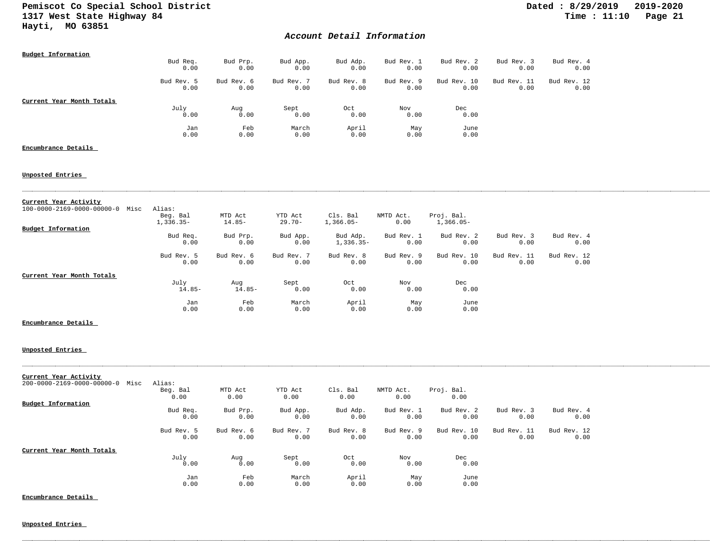## *Account Detail Information*

| <b>Budget Information</b>                                | Bud Req.                          | Bud Prp.            | Bud App.             | Bud Adp.                | Bud Rev. 1         | Bud Rev. 2                | Bud Rev. 3          | Bud Rev. 4          |
|----------------------------------------------------------|-----------------------------------|---------------------|----------------------|-------------------------|--------------------|---------------------------|---------------------|---------------------|
|                                                          | 0.00                              | 0.00                | 0.00                 | 0.00                    | 0.00               | 0.00                      | 0.00                | 0.00                |
|                                                          | Bud Rev. 5<br>0.00                | Bud Rev. 6<br>0.00  | Bud Rev. 7<br>0.00   | Bud Rev. 8<br>0.00      | Bud Rev. 9<br>0.00 | Bud Rev. 10<br>0.00       | Bud Rev. 11<br>0.00 | Bud Rev. 12<br>0.00 |
| Current Year Month Totals                                |                                   |                     |                      |                         |                    |                           |                     |                     |
|                                                          | July<br>0.00                      | Aug<br>0.00         | Sept<br>0.00         | Oct<br>0.00             | Nov<br>0.00        | Dec<br>0.00               |                     |                     |
|                                                          | Jan<br>0.00                       | Feb<br>0.00         | March<br>0.00        | April<br>0.00           | May<br>0.00        | June<br>0.00              |                     |                     |
| Encumbrance Details                                      |                                   |                     |                      |                         |                    |                           |                     |                     |
| <u>Unposted Entries</u>                                  |                                   |                     |                      |                         |                    |                           |                     |                     |
| Current Year Activity                                    |                                   |                     |                      |                         |                    |                           |                     |                     |
| 100-0000-2169-0000-00000-0 Misc                          | Alias:<br>Beg. Bal<br>$1,336.35-$ | MTD Act<br>$14.85-$ | YTD Act<br>$29.70 -$ | Cls. Bal<br>$1,366.05-$ | NMTD Act.<br>0.00  | Proj. Bal.<br>$1,366.05-$ |                     |                     |
| Budget Information                                       | Bud Req.<br>0.00                  | Bud Prp.<br>0.00    | Bud App.<br>0.00     | Bud Adp.<br>$1,336.35-$ | Bud Rev. 1<br>0.00 | Bud Rev. 2<br>0.00        | Bud Rev. 3<br>0.00  | Bud Rev. 4<br>0.00  |
|                                                          | Bud Rev. 5<br>0.00                | Bud Rev. 6<br>0.00  | Bud Rev. 7<br>0.00   | Bud Rev. 8<br>0.00      | Bud Rev. 9<br>0.00 | Bud Rev. 10<br>0.00       | Bud Rev. 11<br>0.00 | Bud Rev. 12<br>0.00 |
| Current Year Month Totals                                | July<br>$14.85-$                  | Aug<br>$14.85-$     | Sept<br>0.00         | Oct<br>0.00             | Nov<br>0.00        | Dec<br>0.00               |                     |                     |
|                                                          | Jan<br>0.00                       | Feb<br>0.00         | March<br>0.00        | April<br>0.00           | May<br>0.00        | June<br>0.00              |                     |                     |
| Encumbrance Details                                      |                                   |                     |                      |                         |                    |                           |                     |                     |
| Unposted Entries                                         |                                   |                     |                      |                         |                    |                           |                     |                     |
| Current Year Activity<br>200-0000-2169-0000-00000-0 Misc | Alias:<br>Beg. Bal                | MTD Act             | YTD Act              | Cls. Bal                | NMTD Act.          | Proj. Bal.                |                     |                     |
| <b>Budget Information</b>                                | 0.00                              | 0.00                | 0.00                 | 0.00                    | 0.00               | 0.00                      |                     |                     |
|                                                          | Bud Req.<br>0.00                  | Bud Prp.<br>0.00    | Bud App.<br>0.00     | Bud Adp.<br>0.00        | Bud Rev. 1<br>0.00 | Bud Rev. 2<br>0.00        | Bud Rev. 3<br>0.00  | Bud Rev. 4<br>0.00  |
|                                                          | Bud Rev. 5<br>0.00                | Bud Rev. 6<br>0.00  | Bud Rev. 7<br>0.00   | Bud Rev. 8<br>0.00      | Bud Rev. 9<br>0.00 | Bud Rev. 10<br>0.00       | Bud Rev. 11<br>0.00 | Bud Rev. 12<br>0.00 |
| Current Year Month Totals                                |                                   |                     |                      |                         |                    |                           |                     |                     |
|                                                          | July<br>0.00                      | Aug<br>0.00         | Sept<br>0.00         | Oct<br>0.00             | Nov<br>0.00        | Dec<br>0.00               |                     |                     |
|                                                          | Jan<br>0.00                       | Feb<br>0.00         | March<br>0.00        | April<br>0.00           | May<br>0.00        | June<br>0.00              |                     |                     |

**Unposted Entries** 

**Encumbrance Details**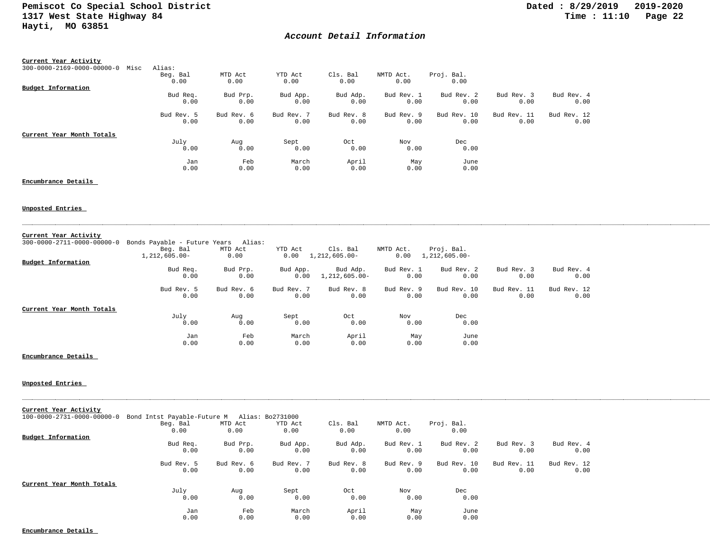## *Account Detail Information*

| Current Year Activity                          |            |            |            |            |            |             |             |             |
|------------------------------------------------|------------|------------|------------|------------|------------|-------------|-------------|-------------|
| $300 - 0000 - 2169 - 0000 - 00000 - 0$<br>Misc | Alias:     |            |            |            |            |             |             |             |
|                                                | Beg. Bal   | MTD Act    | YTD Act    | Cls. Bal   | NMTD Act.  | Proj. Bal.  |             |             |
|                                                | 0.00       | 0.00       | 0.00       | 0.00       | 0.00       | 0.00        |             |             |
| Budget Information                             |            |            |            |            |            |             |             |             |
|                                                | Bud Req.   | Bud Prp.   | Bud App.   | Bud Adp.   | Bud Rev. 1 | Bud Rev. 2  | Bud Rev. 3  | Bud Rev. 4  |
|                                                | 0.00       | 0.00       | 0.00       | 0.00       | 0.00       | 0.00        | 0.00        | 0.00        |
|                                                | Bud Rev. 5 | Bud Rev. 6 | Bud Rev. 7 | Bud Rev. 8 | Bud Rev. 9 | Bud Rev. 10 | Bud Rev. 11 | Bud Rev. 12 |
|                                                | 0.00       | 0.00       | 0.00       | 0.00       | 0.00       | 0.00        | 0.00        | 0.00        |
| Current Year Month Totals                      |            |            |            |            |            |             |             |             |
|                                                | July       | Aug        | Sept       | Oct        | Nov        | Dec         |             |             |
|                                                | 0.00       | 0.00       | 0.00       | 0.00       | 0.00       | 0.00        |             |             |
|                                                | Jan        | Feb        | March      | April      | May        | June        |             |             |
|                                                | 0.00       | 0.00       | 0.00       | 0.00       | 0.00       | 0.00        |             |             |

## **Encumbrance Details**

#### **Unposted Entries**

| Current Year Activity                  |                                     |            |            |               |            |               |             |             |
|----------------------------------------|-------------------------------------|------------|------------|---------------|------------|---------------|-------------|-------------|
| $300 - 0000 - 2711 - 0000 - 00000 - 0$ | Bonds Payable - Future Years Alias: |            |            |               |            |               |             |             |
|                                        | Beg. Bal                            | MTD Act    | YTD Act    | Cls. Bal      | NMTD Act.  | Proj. Bal.    |             |             |
|                                        | 1,212,605.00-                       | 0.00       | 0.00       | 1,212,605.00- | 0.00       | 1,212,605.00- |             |             |
| <b>Budget Information</b>              |                                     |            |            |               |            |               |             |             |
|                                        | Bud Req.                            | Bud Prp.   | Bud App.   | Bud Adp.      | Bud Rev. 1 | Bud Rev. 2    | Bud Rev. 3  | Bud Rev. 4  |
|                                        | 0.00                                | 0.00       | 0.00       | 1,212,605.00- | 0.00       | 0.00          | 0.00        | 0.00        |
|                                        | Bud Rev. 5                          | Bud Rev. 6 | Bud Rev. 7 | Bud Rev. 8    | Bud Rev. 9 | Bud Rev. 10   | Bud Rev. 11 | Bud Rev. 12 |
|                                        | 0.00                                | 0.00       | 0.00       | 0.00          | 0.00       | 0.00          | 0.00        | 0.00        |
| Current Year Month Totals              |                                     |            |            |               |            |               |             |             |
|                                        | July                                | Aug        | Sept       | Oct           | Nov        | Dec           |             |             |
|                                        | 0.00                                | 0.00       | 0.00       | 0.00          | 0.00       | 0.00          |             |             |
|                                        | Jan                                 | Feb        | March      | April         | May        | June          |             |             |
|                                        | 0.00                                | 0.00       | 0.00       | 0.00          | 0.00       | 0.00          |             |             |

### **Encumbrance Details**

### **Unposted Entries**

| Current Year Activity      |                                              |            |            |            |            |             |             |             |
|----------------------------|----------------------------------------------|------------|------------|------------|------------|-------------|-------------|-------------|
| 100-0000-2731-0000-00000-0 | Bond Intst Payable-Future M Alias: Bo2731000 |            |            |            |            |             |             |             |
|                            | Beg. Bal                                     | MTD Act    | YTD Act    | Cls. Bal   | NMTD Act.  | Proj. Bal.  |             |             |
|                            | 0.00                                         | 0.00       | 0.00       | 0.00       | 0.00       | 0.00        |             |             |
| Budget Information         |                                              |            |            |            |            |             |             |             |
|                            | Bud Req.                                     | Bud Prp.   | Bud App.   | Bud Adp.   | Bud Rev. 1 | Bud Rev. 2  | Bud Rev. 3  | Bud Rev. 4  |
|                            | 0.00                                         | 0.00       | 0.00       | 0.00       | 0.00       | 0.00        | 0.00        | 0.00        |
|                            | Bud Rev. 5                                   | Bud Rev. 6 | Bud Rev. 7 | Bud Rev. 8 | Bud Rev. 9 | Bud Rev. 10 | Bud Rev. 11 | Bud Rev. 12 |
|                            | 0.00                                         | 0.00       | 0.00       | 0.00       | 0.00       | 0.00        | 0.00        | 0.00        |
| Current Year Month Totals  |                                              |            |            |            |            |             |             |             |
|                            | July                                         | Aug        | Sept       | Oct        | Nov        | Dec         |             |             |
|                            | 0.00                                         | 0.00       | 0.00       | 0.00       | 0.00       | 0.00        |             |             |
|                            | Jan                                          | Feb        | March      | April      | May        | June        |             |             |
|                            | 0.00                                         | 0.00       | 0.00       | 0.00       | 0.00       | 0.00        |             |             |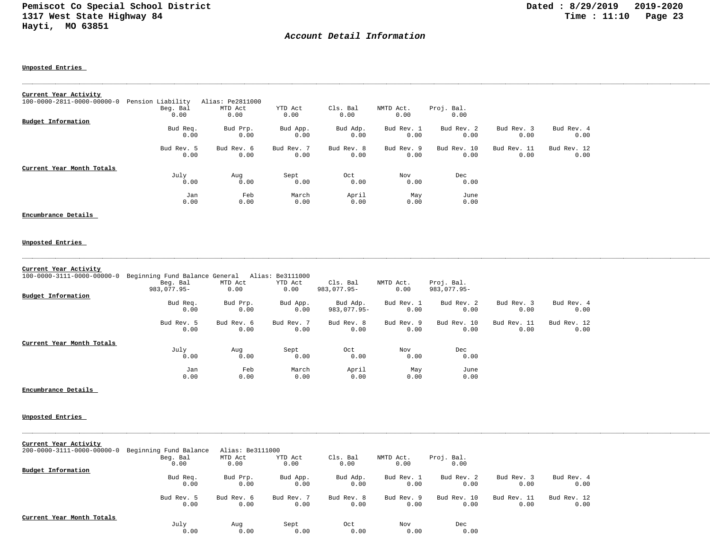## *Account Detail Information*

**Unposted Entries** 

| Current Year Activity      |                   |                  |            |            |            |             |             |             |
|----------------------------|-------------------|------------------|------------|------------|------------|-------------|-------------|-------------|
| 100-0000-2811-0000-00000-0 | Pension Liability | Alias: Pe2811000 |            |            |            |             |             |             |
|                            | Beg. Bal          | MTD Act          | YTD Act    | Cls. Bal   | NMTD Act.  | Proj. Bal.  |             |             |
|                            | 0.00              | 0.00             | 0.00       | 0.00       | 0.00       | 0.00        |             |             |
| Budget Information         |                   |                  |            |            |            |             |             |             |
|                            | Bud Req.          | Bud Prp.         | Bud App.   | Bud Adp.   | Bud Rev. 1 | Bud Rev. 2  | Bud Rev. 3  | Bud Rev. 4  |
|                            | 0.00              | 0.00             | 0.00       | 0.00       | 0.00       | 0.00        | 0.00        | 0.00        |
|                            | Bud Rev. 5        | Bud Rev. 6       | Bud Rev. 7 | Bud Rev. 8 | Bud Rev. 9 | Bud Rev. 10 | Bud Rev. 11 | Bud Rev. 12 |
|                            | 0.00              | 0.00             | 0.00       | 0.00       | 0.00       | 0.00        | 0.00        | 0.00        |
| Current Year Month Totals  |                   |                  |            |            |            |             |             |             |
|                            | July              | Aug              | Sept       | Oct        | Nov        | Dec         |             |             |
|                            | 0.00              | 0.00             | 0.00       | 0.00       | 0.00       | 0.00        |             |             |
|                            | Jan               | Feb              | March      | April      | May        | June        |             |             |
|                            | 0.00              | 0.00             | 0.00       | 0.00       | 0.00       | 0.00        |             |             |

#### **Encumbrance Details**

# **Unposted Entries**

#### **Current Year Activity**

| 100-0000-3111-0000-00000-0 | Beginning Fund Balance General |            | Alias: Be3111000 |             |            |             |             |             |
|----------------------------|--------------------------------|------------|------------------|-------------|------------|-------------|-------------|-------------|
|                            | Beg. Bal                       | MTD Act    | YTD Act          | Cls. Bal    | NMTD Act.  | Proj. Bal.  |             |             |
|                            | $983.077.95 -$                 | 0.00       | 0.00             | 983,077.95- | 0.00       | 983,077.95- |             |             |
| Budget Information         |                                |            |                  |             |            |             |             |             |
|                            | Bud Req.                       | Bud Prp.   | Bud App.         | Bud Adp.    | Bud Rev. 1 | Bud Rev. 2  | Bud Rev. 3  | Bud Rev. 4  |
|                            | 0.00                           | 0.00       | 0.00             | 983,077.95- | 0.00       | 0.00        | 0.00        | 0.00        |
|                            | Bud Rev. 5                     | Bud Rev. 6 | Bud Rev. 7       | Bud Rev. 8  | Bud Rev. 9 | Bud Rev. 10 | Bud Rev. 11 | Bud Rev. 12 |
|                            | 0.00                           | 0.00       | 0.00             | 0.00        | 0.00       | 0.00        | 0.00        | 0.00        |
| Current Year Month Totals  |                                |            |                  |             |            |             |             |             |
|                            | July                           | Aug        | Sept             | Oct         | Nov        | Dec         |             |             |
|                            | 0.00                           | 0.00       | 0.00             | 0.00        | 0.00       | 0.00        |             |             |
|                            | Jan                            | Feb        | March            | April       | May        | June        |             |             |
|                            | 0.00                           | 0.00       | 0.00             | 0.00        | 0.00       | 0.00        |             |             |

**Encumbrance Details** 

|  | Current Year Activity |  |
|--|-----------------------|--|
|  |                       |  |

| 200-0000-3111-0000-00000-0 | Beginning Fund Balance | Alias: Be3111000 |            |            |            |             |             |             |
|----------------------------|------------------------|------------------|------------|------------|------------|-------------|-------------|-------------|
|                            | Beg. Bal               | MTD Act          | YTD Act    | Cls. Bal   | NMTD Act.  | Proj. Bal.  |             |             |
|                            | 0.00                   | 0.00             | 0.00       | 0.00       | 0.00       | 0.00        |             |             |
| <b>Budget Information</b>  |                        |                  |            |            |            |             |             |             |
|                            | Bud Req.               | Bud Prp.         | Bud App.   | Bud Adp.   | Bud Rev. 1 | Bud Rev. 2  | Bud Rev. 3  | Bud Rev. 4  |
|                            | 0.00                   | 0.00             | 0.00       | 0.00       | 0.00       | 0.00        | 0.00        | 0.00        |
|                            | Bud Rev. 5             | Bud Rev. 6       | Bud Rev. 7 | Bud Rev. 8 | Bud Rev. 9 | Bud Rev. 10 | Bud Rev. 11 | Bud Rev. 12 |
|                            | 0.00                   | 0.00             | 0.00       | 0.00       | 0.00       | 0.00        | 0.00        | 0.00        |
| Current Year Month Totals  |                        |                  |            |            |            |             |             |             |
|                            | July                   | Aug              | Sept       | Oct        | Nov        | Dec         |             |             |
|                            | 0.00                   | 0.00             | 0.00       | 0.00       | 0.00       | 0.00        |             |             |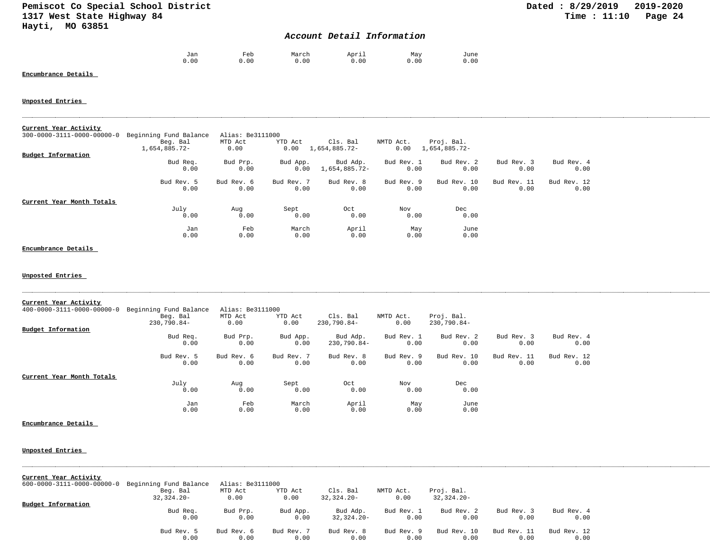## *Account Detail Information*

| Jan  | Feb  | March | April | May  | June |
|------|------|-------|-------|------|------|
| 0.00 | 0.00 | 0.00  | 0.00  | 0.00 | 0.00 |

#### **Encumbrance Details**

## **Unposted Entries**

| Current Year Activity      |                        |                  |            |               |            |               |             |             |  |
|----------------------------|------------------------|------------------|------------|---------------|------------|---------------|-------------|-------------|--|
| 300-0000-3111-0000-00000-0 | Beginning Fund Balance | Alias: Be3111000 |            |               |            |               |             |             |  |
|                            | Beg. Bal               | MTD Act          | YTD Act    | Cls. Bal      | NMTD Act.  | Proj. Bal.    |             |             |  |
|                            | 1,654,885.72-          | 0.00             | 0.00       | 1,654,885.72- | 0.00       | 1,654,885.72- |             |             |  |
| <b>Budget Information</b>  |                        |                  |            |               |            |               |             |             |  |
|                            | Bud Req.               | Bud Prp.         | Bud App.   | Bud Adp.      | Bud Rev. 1 | Bud Rev. 2    | Bud Rev. 3  | Bud Rev. 4  |  |
|                            | 0.00                   | 0.00             | 0.00       | 1,654,885.72- | 0.00       | 0.00          | 0.00        | 0.00        |  |
|                            | Bud Rev. 5             | Bud Rev. 6       | Bud Rev. 7 | Bud Rev. 8    | Bud Rev. 9 | Bud Rev. 10   | Bud Rev. 11 | Bud Rev. 12 |  |
|                            | 0.00                   | 0.00             | 0.00       | 0.00          | 0.00       | 0.00          | 0.00        | 0.00        |  |
| Current Year Month Totals  |                        |                  |            |               |            |               |             |             |  |
|                            | July                   | Aug              | Sept       | Oct           | Nov        | Dec           |             |             |  |
|                            | 0.00                   | 0.00             | 0.00       | 0.00          | 0.00       | 0.00          |             |             |  |
|                            | Jan                    | Feb              | March      | April         | May        | June          |             |             |  |
|                            | 0.00                   | 0.00             | 0.00       | 0.00          | 0.00       | 0.00          |             |             |  |

## **Encumbrance Details**

**Unposted Entries** 

| Current Year Activity      |                        |                  |            |             |            |             |             |             |
|----------------------------|------------------------|------------------|------------|-------------|------------|-------------|-------------|-------------|
| 400-0000-3111-0000-00000-0 | Beginning Fund Balance | Alias: Be3111000 |            |             |            |             |             |             |
|                            | Beg. Bal               | MTD Act          | YTD Act    | Cls. Bal    | NMTD Act.  | Proj. Bal.  |             |             |
|                            | 230,790.84-            | 0.00             | 0.00       | 230,790.84- | 0.00       | 230,790.84- |             |             |
| Budget Information         |                        |                  |            |             |            |             |             |             |
|                            | Bud Req.               | Bud Prp.         | Bud App.   | Bud Adp.    | Bud Rev. 1 | Bud Rev. 2  | Bud Rev. 3  | Bud Rev. 4  |
|                            | 0.00                   | 0.00             | 0.00       | 230,790.84- | 0.00       | 0.00        | 0.00        | 0.00        |
|                            | Bud Rev. 5             | Bud Rev. 6       | Bud Rev. 7 | Bud Rev. 8  | Bud Rev. 9 | Bud Rev. 10 | Bud Rev. 11 | Bud Rev. 12 |
|                            | 0.00                   | 0.00             | 0.00       | 0.00        | 0.00       | 0.00        | 0.00        | 0.00        |
| Current Year Month Totals  |                        |                  |            |             |            |             |             |             |
|                            | July                   | Aug              | Sept       | Oct         | Nov        | Dec         |             |             |
|                            | 0.00                   | 0.00             | 0.00       | 0.00        | 0.00       | 0.00        |             |             |
|                            | Jan                    | Feb              | March      | April       | May        | June        |             |             |
|                            | 0.00                   | 0.00             | 0.00       | 0.00        | 0.00       | 0.00        |             |             |

#### **Encumbrance Details**

#### **Unposted Entries**

| Current Year Activity      |                        |                  |            |               |            |               |             |             |
|----------------------------|------------------------|------------------|------------|---------------|------------|---------------|-------------|-------------|
| 600-0000-3111-0000-00000-0 | Beginning Fund Balance | Alias: Be3111000 |            |               |            |               |             |             |
|                            | Beg. Bal               | MTD Act          | YTD Act    | Cls. Bal      | NMTD Act.  | Proj. Bal.    |             |             |
|                            | $32,324.20-$           | 0.00             | 0.00       | $32.324.20 -$ | 0.00       | $32.324.20 -$ |             |             |
| Budget Information         |                        |                  |            |               |            |               |             |             |
|                            | Bud Req.               | Bud Prp.         | Bud App.   | Bud Adp.      | Bud Rev. 1 | Bud Rev. 2    | Bud Rev. 3  | Bud Rev. 4  |
|                            | 0.00                   | 0.00             | 0.00       | $32,324.20-$  | 0.00       | 0.00          | 0.00        | 0.00        |
|                            | Bud Rev. 5             | Bud Rev. 6       | Bud Rev. 7 | Bud Rev. 8    | Bud Rev. 9 | Bud Rev. 10   | Bud Rev. 11 | Bud Rev. 12 |
|                            | 0.00                   | 0.00             | 0.00       | 0.00          | 0.00       | 0.00          | 0.00        | 0.00        |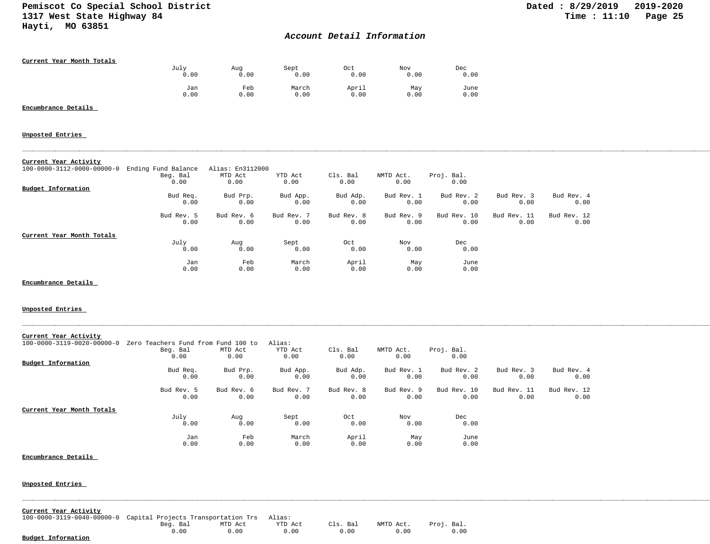## *Account Detail Information*

| Current Year Month Totals |      |      |       |       |      |      |
|---------------------------|------|------|-------|-------|------|------|
|                           | July | Aug  | Sept  | 0ct   | Nov  | Dec  |
|                           | 0.00 | 0.00 | 0.00  | 0.00  | 0.00 | 0.00 |
|                           | Jan  | Feb  | March | April | May  | June |
|                           | 0.00 | 0.00 | 0.00  | 0.00  | 0.00 | 0.00 |

## **Encumbrance Details**

#### **Unposted Entries**

#### **Current Year Activity**

| 100-0000-3112-0000-00000-0 Ending Fund Balance |            | Alias: En3112000 |            |            |            |             |             |             |
|------------------------------------------------|------------|------------------|------------|------------|------------|-------------|-------------|-------------|
|                                                | Beg. Bal   | MTD Act          | YTD Act    | Cls. Bal   | NMTD Act.  | Proj. Bal.  |             |             |
|                                                | 0.00       | 0.00             | 0.00       | 0.00       | 0.00       | 0.00        |             |             |
| Budget Information                             |            |                  |            |            |            |             |             |             |
|                                                | Bud Req.   | Bud Prp.         | Bud App.   | Bud Adp.   | Bud Rev. 1 | Bud Rev. 2  | Bud Rev. 3  | Bud Rev. 4  |
|                                                | 0.00       | 0.00             | 0.00       | 0.00       | 0.00       | 0.00        | 0.00        | 0.00        |
|                                                | Bud Rev. 5 | Bud Rev. 6       | Bud Rev. 7 | Bud Rev. 8 | Bud Rev. 9 | Bud Rev. 10 | Bud Rev. 11 | Bud Rev. 12 |
|                                                | 0.00       | 0.00             | 0.00       | 0.00       | 0.00       | 0.00        | 0.00        | 0.00        |
| Current Year Month Totals                      |            |                  |            |            |            |             |             |             |
|                                                | July       | Aug              | Sept       | Oct        | Nov        | Dec         |             |             |
|                                                | 0.00       | 0.00             | 0.00       | 0.00       | 0.00       | 0.00        |             |             |
|                                                | Jan        | Feb              | March      | April      | May        | June        |             |             |
|                                                | 0.00       | 0.00             | 0.00       | 0.00       | 0.00       | 0.00        |             |             |

**Encumbrance Details** 

### **Unposted Entries**

| Current Year Activity      |                                     |            |            |            |            |             |             |             |
|----------------------------|-------------------------------------|------------|------------|------------|------------|-------------|-------------|-------------|
| 100-0000-3119-0020-00000-0 | Zero Teachers Fund from Fund 100 to |            | Alias:     |            |            |             |             |             |
|                            | Beg. Bal                            | MTD Act    | YTD Act    | Cls. Bal   | NMTD Act.  | Proj. Bal.  |             |             |
|                            | 0.00                                | 0.00       | 0.00       | 0.00       | 0.00       | 0.00        |             |             |
| Budget Information         |                                     |            |            |            |            |             |             |             |
|                            | Bud Req.                            | Bud Prp.   | Bud App.   | Bud Adp.   | Bud Rev. 1 | Bud Rev. 2  | Bud Rev. 3  | Bud Rev. 4  |
|                            | 0.00                                | 0.00       | 0.00       | 0.00       | 0.00       | 0.00        | 0.00        | 0.00        |
|                            | Bud Rev. 5                          | Bud Rev. 6 | Bud Rev. 7 | Bud Rev. 8 | Bud Rev. 9 | Bud Rev. 10 | Bud Rev. 11 | Bud Rev. 12 |
|                            | 0.00                                | 0.00       | 0.00       | 0.00       | 0.00       | 0.00        | 0.00        | 0.00        |
| Current Year Month Totals  |                                     |            |            |            |            |             |             |             |
|                            | July                                | Aug        | Sept       | Oct        | Nov        | Dec         |             |             |
|                            | 0.00                                | 0.00       | 0.00       | 0.00       | 0.00       | 0.00        |             |             |
|                            | Jan                                 | Feb        | March      | April      | May        | June        |             |             |
|                            | 0.00                                | 0.00       | 0.00       | 0.00       | 0.00       | 0.00        |             |             |

#### **Encumbrance Details**

| Current Year Activity                                                 |          |         |         |          |      |                      |  |  |  |
|-----------------------------------------------------------------------|----------|---------|---------|----------|------|----------------------|--|--|--|
| 100-0000-3119-0040-00000-0 Capital Projects Transportation Trs Alias: |          |         |         |          |      |                      |  |  |  |
|                                                                       | Beg. Bal | MTD Act | YTD Act | Cls. Bal |      | NMTD Act. Proj. Bal. |  |  |  |
|                                                                       | 0.00     | 0.00    | 0.00    | 0.00     | 0.00 |                      |  |  |  |
| Budget Information                                                    |          |         |         |          |      |                      |  |  |  |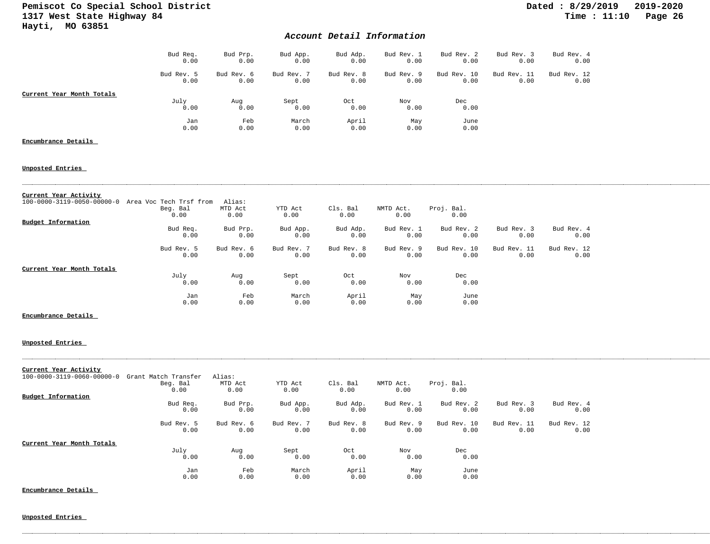## *Account Detail Information*

|                           | Bud Req.<br>0.00   | Bud Prp.<br>0.00   | Bud App.<br>0.00   | Bud Adp.<br>0.00   | Bud Rev. 1<br>0.00 | Bud Rev. 2<br>0.00  | Bud Rev. 3<br>0.00  | Bud Rev. 4<br>0.00  |
|---------------------------|--------------------|--------------------|--------------------|--------------------|--------------------|---------------------|---------------------|---------------------|
|                           | Bud Rev. 5<br>0.00 | Bud Rev. 6<br>0.00 | Bud Rev. 7<br>0.00 | Bud Rev. 8<br>0.00 | Bud Rev. 9<br>0.00 | Bud Rev. 10<br>0.00 | Bud Rev. 11<br>0.00 | Bud Rev. 12<br>0.00 |
| Current Year Month Totals |                    |                    |                    |                    |                    |                     |                     |                     |
|                           | July               | Aug                | Sept               | Oct                | Nov                | Dec                 |                     |                     |
|                           | 0.00               | 0.00               | 0.00               | 0.00               | 0.00               | 0.00                |                     |                     |
|                           | Jan                | Feb                | March              | April              | May                | June                |                     |                     |
|                           | 0.00               | 0.00               | 0.00               | 0.00               | 0.00               | 0.00                |                     |                     |
| Encumbrance Details       |                    |                    |                    |                    |                    |                     |                     |                     |

#### **Unposted Entries**

| Current Year Activity      |                         |            |            |            |            |             |             |             |
|----------------------------|-------------------------|------------|------------|------------|------------|-------------|-------------|-------------|
| 100-0000-3119-0050-00000-0 | Area Voc Tech Trsf from | Alias:     |            |            |            |             |             |             |
|                            | Beg. Bal                | MTD Act    | YTD Act    | Cls. Bal   | NMTD Act.  | Proj. Bal.  |             |             |
|                            | 0.00                    | 0.00       | 0.00       | 0.00       | 0.00       | 0.00        |             |             |
| Budget Information         |                         |            |            |            |            |             |             |             |
|                            | Bud Req.                | Bud Prp.   | Bud App.   | Bud Adp.   | Bud Rev. 1 | Bud Rev. 2  | Bud Rev. 3  | Bud Rev. 4  |
|                            | 0.00                    | 0.00       | 0.00       | 0.00       | 0.00       | 0.00        | 0.00        | 0.00        |
|                            | Bud Rev. 5              | Bud Rev. 6 | Bud Rev. 7 | Bud Rev. 8 | Bud Rev. 9 | Bud Rev. 10 | Bud Rev. 11 | Bud Rev. 12 |
|                            | 0.00                    | 0.00       | 0.00       | 0.00       | 0.00       | 0.00        | 0.00        | 0.00        |
| Current Year Month Totals  |                         |            |            |            |            |             |             |             |
|                            | July                    | Aug        | Sept       | Oct        | Nov        | Dec         |             |             |
|                            | 0.00                    | 0.00       | 0.00       | 0.00       | 0.00       | 0.00        |             |             |
|                            | Jan                     | Feb        | March      | April      | May        | June        |             |             |
|                            | 0.00                    | 0.00       | 0.00       | 0.00       | 0.00       | 0.00        |             |             |

#### **Encumbrance Details**

#### **Unposted Entries**

| Current Year Activity      |                      |            |            |            |            |             |             |             |
|----------------------------|----------------------|------------|------------|------------|------------|-------------|-------------|-------------|
| 100-0000-3119-0060-00000-0 | Grant Match Transfer | Alias:     |            |            |            |             |             |             |
|                            | Beg. Bal             | MTD Act    | YTD Act    | Cls. Bal   | NMTD Act.  | Proj. Bal.  |             |             |
|                            | 0.00                 | 0.00       | 0.00       | 0.00       | 0.00       | 0.00        |             |             |
| Budget Information         |                      |            |            |            |            |             |             |             |
|                            | Bud Req.             | Bud Prp.   | Bud App.   | Bud Adp.   | Bud Rev. 1 | Bud Rev. 2  | Bud Rev. 3  | Bud Rev. 4  |
|                            | 0.00                 | 0.00       | 0.00       | 0.00       | 0.00       | 0.00        | 0.00        | 0.00        |
|                            | Bud Rev. 5           | Bud Rev. 6 | Bud Rev. 7 | Bud Rev. 8 | Bud Rev. 9 | Bud Rev. 10 | Bud Rev. 11 | Bud Rev. 12 |
|                            | 0.00                 | 0.00       | 0.00       | 0.00       | 0.00       | 0.00        | 0.00        | 0.00        |
| Current Year Month Totals  |                      |            |            |            |            |             |             |             |
|                            | July                 | Aug        | Sept       | Oct        | Nov        | Dec         |             |             |
|                            | 0.00                 | 0.00       | 0.00       | 0.00       | 0.00       | 0.00        |             |             |
|                            | Jan                  | Feb        | March      | April      | May        | June        |             |             |
|                            | 0.00                 | 0.00       | 0.00       | 0.00       | 0.00       | 0.00        |             |             |

**Encumbrance Details**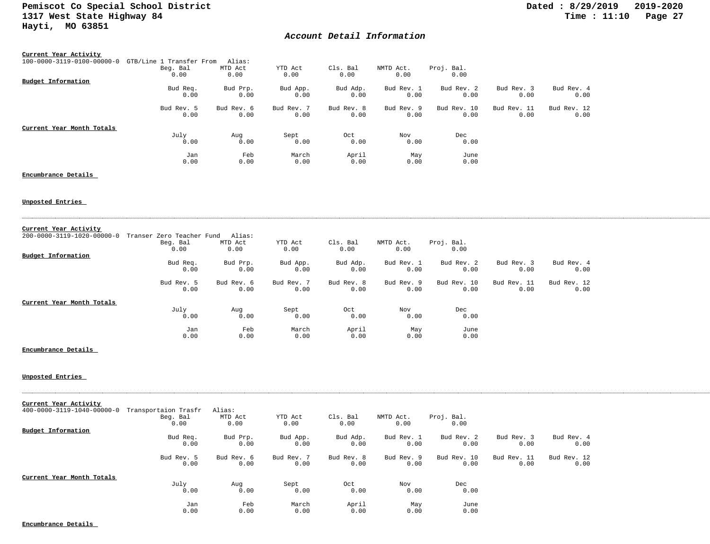## *Account Detail Information*

| Current Year Activity      |                          |            |            |            |            |             |             |             |
|----------------------------|--------------------------|------------|------------|------------|------------|-------------|-------------|-------------|
| 100-0000-3119-0100-00000-0 | GTB/Line 1 Transfer From | Alias:     |            |            |            |             |             |             |
|                            | Beg. Bal                 | MTD Act    | YTD Act    | Cls. Bal   | NMTD Act.  | Proj. Bal.  |             |             |
|                            | 0.00                     | 0.00       | 0.00       | 0.00       | 0.00       | 0.00        |             |             |
| Budget Information         |                          |            |            |            |            |             |             |             |
|                            | Bud Req.                 | Bud Prp.   | Bud App.   | Bud Adp.   | Bud Rev. 1 | Bud Rev. 2  | Bud Rev. 3  | Bud Rev. 4  |
|                            | 0.00                     | 0.00       | 0.00       | 0.00       | 0.00       | 0.00        | 0.00        | 0.00        |
|                            | Bud Rev. 5               | Bud Rev. 6 | Bud Rev. 7 | Bud Rev. 8 | Bud Rev. 9 | Bud Rev. 10 | Bud Rev. 11 | Bud Rev. 12 |
|                            | 0.00                     | 0.00       | 0.00       | 0.00       | 0.00       | 0.00        | 0.00        | 0.00        |
| Current Year Month Totals  |                          |            |            |            |            |             |             |             |
|                            | July                     | Aug        | Sept       | Oct        | Nov        | Dec         |             |             |
|                            | 0.00                     | 0.00       | 0.00       | 0.00       | 0.00       | 0.00        |             |             |
|                            | Jan                      | Feb        | March      | April      | May        | June        |             |             |
|                            | 0.00                     | 0.00       | 0.00       | 0.00       | 0.00       | 0.00        |             |             |

### **Encumbrance Details**

### **Unposted Entries**

| Current Year Activity      |                           |            |            |            |            |             |             |             |
|----------------------------|---------------------------|------------|------------|------------|------------|-------------|-------------|-------------|
| 200-0000-3119-1020-00000-0 | Transer Zero Teacher Fund | Alias:     |            |            |            |             |             |             |
|                            | Beg. Bal                  | MTD Act    | YTD Act    | Cls. Bal   | NMTD Act.  | Proj. Bal.  |             |             |
|                            | 0.00                      | 0.00       | 0.00       | 0.00       | 0.00       | 0.00        |             |             |
| Budget Information         |                           |            |            |            |            |             |             |             |
|                            | Bud Req.                  | Bud Prp.   | Bud App.   | Bud Adp.   | Bud Rev. 1 | Bud Rev. 2  | Bud Rev. 3  | Bud Rev. 4  |
|                            | 0.00                      | 0.00       | 0.00       | 0.00       | 0.00       | 0.00        | 0.00        | 0.00        |
|                            | Bud Rev. 5                | Bud Rev. 6 | Bud Rev. 7 | Bud Rev. 8 | Bud Rev. 9 | Bud Rev. 10 | Bud Rev. 11 | Bud Rev. 12 |
|                            | 0.00                      | 0.00       | 0.00       | 0.00       | 0.00       | 0.00        | 0.00        | 0.00        |
| Current Year Month Totals  |                           |            |            |            |            |             |             |             |
|                            | July                      | Aug        | Sept       | Oct        | Nov        | Dec         |             |             |
|                            | 0.00                      | 0.00       | 0.00       | 0.00       | 0.00       | 0.00        |             |             |
|                            | Jan                       | Feb        | March      | April      | May        | June        |             |             |
|                            | 0.00                      | 0.00       | 0.00       | 0.00       | 0.00       | 0.00        |             |             |

#### **Encumbrance Details**

## **Unposted Entries**

| Current Year Activity      |                      |            |            |            |            |             |             |             |
|----------------------------|----------------------|------------|------------|------------|------------|-------------|-------------|-------------|
| 400-0000-3119-1040-00000-0 | Transportaion Trasfr | Alias:     |            |            |            |             |             |             |
|                            | Beg. Bal             | MTD Act    | YTD Act    | Cls. Bal   | NMTD Act.  | Proj. Bal.  |             |             |
|                            | 0.00                 | 0.00       | 0.00       | 0.00       | 0.00       | 0.00        |             |             |
| Budget Information         |                      |            |            |            |            |             |             |             |
|                            | Bud Req.             | Bud Prp.   | Bud App.   | Bud Adp.   | Bud Rev. 1 | Bud Rev. 2  | Bud Rev. 3  | Bud Rev. 4  |
|                            | 0.00                 | 0.00       | 0.00       | 0.00       | 0.00       | 0.00        | 0.00        | 0.00        |
|                            | Bud Rev. 5           | Bud Rev. 6 | Bud Rev. 7 | Bud Rev. 8 | Bud Rev. 9 | Bud Rev. 10 | Bud Rev. 11 | Bud Rev. 12 |
|                            | 0.00                 | 0.00       | 0.00       | 0.00       | 0.00       | 0.00        | 0.00        | 0.00        |
| Current Year Month Totals  |                      |            |            |            |            |             |             |             |
|                            | July                 | Aug        | Sept       | Oct        | Nov        | Dec         |             |             |
|                            | 0.00                 | 0.00       | 0.00       | 0.00       | 0.00       | 0.00        |             |             |
|                            | Jan                  | Feb        | March      | April      | May        | June        |             |             |
|                            | 0.00                 | 0.00       | 0.00       | 0.00       | 0.00       | 0.00        |             |             |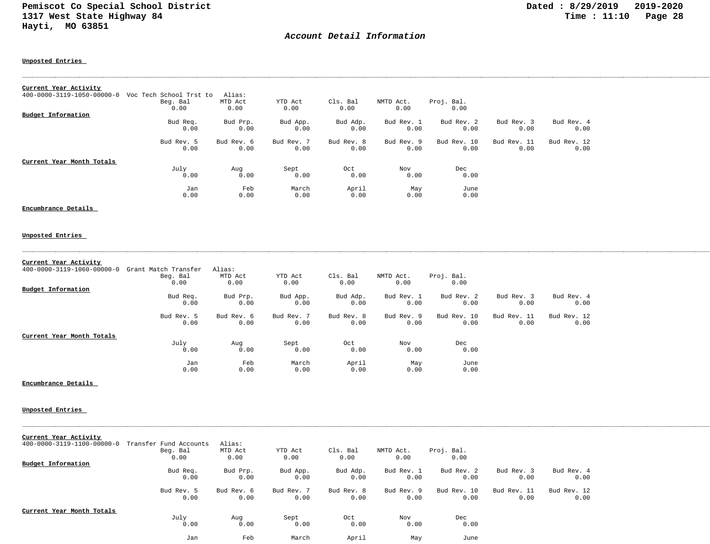## *Account Detail Information*

**Unposted Entries** 

| Current Year Activity      |                         |            |            |            |            |             |             |             |
|----------------------------|-------------------------|------------|------------|------------|------------|-------------|-------------|-------------|
| 400-0000-3119-1050-00000-0 | Voc Tech School Trst to | Alias:     |            |            |            |             |             |             |
|                            | Beg. Bal                | MTD Act    | YTD Act    | Cls. Bal   | NMTD Act.  | Proj. Bal.  |             |             |
|                            | 0.00                    | 0.00       | 0.00       | 0.00       | 0.00       | 0.00        |             |             |
| Budget Information         |                         |            |            |            |            |             |             |             |
|                            | Bud Req.                | Bud Prp.   | Bud App.   | Bud Adp.   | Bud Rev. 1 | Bud Rev. 2  | Bud Rev. 3  | Bud Rev. 4  |
|                            | 0.00                    | 0.00       | 0.00       | 0.00       | 0.00       | 0.00        | 0.00        | 0.00        |
|                            | Bud Rev. 5              | Bud Rev. 6 | Bud Rev. 7 | Bud Rev. 8 | Bud Rev. 9 | Bud Rev. 10 | Bud Rev. 11 | Bud Rev. 12 |
|                            | 0.00                    | 0.00       | 0.00       | 0.00       | 0.00       | 0.00        | 0.00        | 0.00        |
| Current Year Month Totals  |                         |            |            |            |            |             |             |             |
|                            | July                    | Aug        | Sept       | Oct        | Nov        | Dec         |             |             |
|                            | 0.00                    | 0.00       | 0.00       | 0.00       | 0.00       | 0.00        |             |             |
|                            | Jan                     | Feb        | March      | April      | May        | June        |             |             |
|                            | 0.00                    | 0.00       | 0.00       | 0.00       | 0.00       | 0.00        |             |             |

**Encumbrance Details** 

#### **Unposted Entries**

|  | Current Year Activity |
|--|-----------------------|
|  |                       |

| 400-0000-3119-1060-00000-0 | Grant Match Transfer | Alias:     |            |            |            |             |             |             |
|----------------------------|----------------------|------------|------------|------------|------------|-------------|-------------|-------------|
|                            | Beg. Bal             | MTD Act    | YTD Act    | Cls. Bal   | NMTD Act.  | Proj. Bal.  |             |             |
|                            | 0.00                 | 0.00       | 0.00       | 0.00       | 0.00       | 0.00        |             |             |
| Budget Information         |                      |            |            |            |            |             |             |             |
|                            | Bud Req.             | Bud Prp.   | Bud App.   | Bud Adp.   | Bud Rev. 1 | Bud Rev. 2  | Bud Rev. 3  | Bud Rev. 4  |
|                            | 0.00                 | 0.00       | 0.00       | 0.00       | 0.00       | 0.00        | 0.00        | 0.00        |
|                            | Bud Rev. 5           | Bud Rev. 6 | Bud Rev. 7 | Bud Rev. 8 | Bud Rev. 9 | Bud Rev. 10 | Bud Rev. 11 | Bud Rev. 12 |
|                            | 0.00                 | 0.00       | 0.00       | 0.00       | 0.00       | 0.00        | 0.00        | 0.00        |
| Current Year Month Totals  |                      |            |            |            |            |             |             |             |
|                            | July                 | Aug        | Sept       | Oct        | Nov        | Dec         |             |             |
|                            | 0.00                 | 0.00       | 0.00       | 0.00       | 0.00       | 0.00        |             |             |
|                            | Jan                  | Feb        | March      | April      | May        | June        |             |             |
|                            | 0.00                 | 0.00       | 0.00       | 0.00       | 0.00       | 0.00        |             |             |

**Encumbrance Details** 

#### **Unposted Entries**

| Current Year Activity      |                        |            |            |            |            |             |             |             |
|----------------------------|------------------------|------------|------------|------------|------------|-------------|-------------|-------------|
| 400-0000-3119-1100-00000-0 | Transfer Fund Accounts | Alias:     |            |            |            |             |             |             |
|                            | Beg. Bal               | MTD Act    | YTD Act    | Cls. Bal   | NMTD Act.  | Proj. Bal.  |             |             |
|                            | 0.00                   | 0.00       | 0.00       | 0.00       | 0.00       | 0.00        |             |             |
| Budget Information         |                        |            |            |            |            |             |             |             |
|                            | Bud Req.               | Bud Prp.   | Bud App.   | Bud Adp.   | Bud Rev. 1 | Bud Rev. 2  | Bud Rev. 3  | Bud Rev. 4  |
|                            | 0.00                   | 0.00       | 0.00       | 0.00       | 0.00       | 0.00        | 0.00        | 0.00        |
|                            | Bud Rev. 5             | Bud Rev. 6 | Bud Rev. 7 | Bud Rev. 8 | Bud Rev. 9 | Bud Rev. 10 | Bud Rev. 11 | Bud Rev. 12 |
|                            | 0.00                   | 0.00       | 0.00       | 0.00       | 0.00       | 0.00        | 0.00        | 0.00        |
| Current Year Month Totals  |                        |            |            |            |            |             |             |             |
|                            | July                   | Aug        | Sept       | Oct        | Nov        | Dec         |             |             |
|                            | 0.00                   | 0.00       | 0.00       | 0.00       | 0.00       | 0.00        |             |             |
|                            | Jan                    | Feb        | March      | April      | May        | June        |             |             |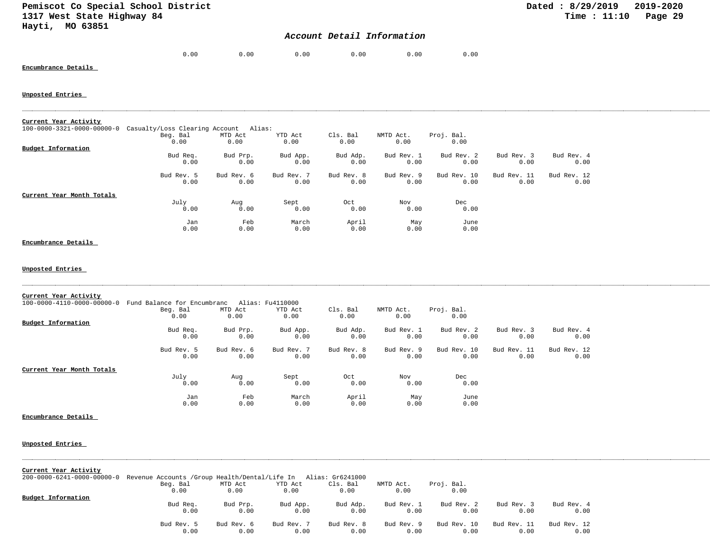## *Account Detail Information*

| ი.იი | 0.00 | 0.00 | 0.00 | 0.00 | 0.00 |
|------|------|------|------|------|------|
|      |      |      |      |      |      |

## **Encumbrance Details**

#### **Unposted Entries**

| Current Year Activity                  |                                       |            |            |            |            |             |             |             |
|----------------------------------------|---------------------------------------|------------|------------|------------|------------|-------------|-------------|-------------|
| $100 - 0000 - 3321 - 0000 - 00000 - 0$ | Casualty/Loss Clearing Account Alias: |            |            |            |            |             |             |             |
|                                        | Beg. Bal                              | MTD Act    | YTD Act    | Cls. Bal   | NMTD Act.  | Proj. Bal.  |             |             |
|                                        | 0.00                                  | 0.00       | 0.00       | 0.00       | 0.00       | 0.00        |             |             |
| Budget Information                     |                                       |            |            |            |            |             |             |             |
|                                        | Bud Req.                              | Bud Prp.   | Bud App.   | Bud Adp.   | Bud Rev. 1 | Bud Rev. 2  | Bud Rev. 3  | Bud Rev. 4  |
|                                        | 0.00                                  | 0.00       | 0.00       | 0.00       | 0.00       | 0.00        | 0.00        | 0.00        |
|                                        | Bud Rev. 5                            | Bud Rev. 6 | Bud Rev. 7 | Bud Rev. 8 | Bud Rev. 9 | Bud Rev. 10 | Bud Rev. 11 | Bud Rev. 12 |
|                                        | 0.00                                  | 0.00       | 0.00       | 0.00       | 0.00       | 0.00        | 0.00        | 0.00        |
| Current Year Month Totals              |                                       |            |            |            |            |             |             |             |
|                                        | July                                  | Aug        | Sept       | Oct        | Nov        | Dec         |             |             |
|                                        | 0.00                                  | 0.00       | 0.00       | 0.00       | 0.00       | 0.00        |             |             |
|                                        | Jan                                   | Feb        | March      | April      | May        | June        |             |             |
|                                        | 0.00                                  | 0.00       | 0.00       | 0.00       | 0.00       | 0.00        |             |             |

# **Encumbrance Details**

| Current Year Activity<br>100-0000-4110-0000-00000-0 Fund Balance for Encumbranc Alias: Fu4110000 |                                                                 |                    |                    |                    |                    |                     |                     |                     |  |
|--------------------------------------------------------------------------------------------------|-----------------------------------------------------------------|--------------------|--------------------|--------------------|--------------------|---------------------|---------------------|---------------------|--|
|                                                                                                  | Beg. Bal                                                        | MTD Act            | YTD Act            | Cls. Bal           | NMTD Act.          | Proj. Bal.          |                     |                     |  |
|                                                                                                  | 0.00                                                            | 0.00               | 0.00               | 0.00               | 0.00               | 0.00                |                     |                     |  |
| Budget Information                                                                               |                                                                 |                    |                    |                    |                    |                     |                     |                     |  |
|                                                                                                  | Bud Req.<br>0.00                                                | Bud Prp.<br>0.00   | Bud App.<br>0.00   | Bud Adp.<br>0.00   | Bud Rev. 1<br>0.00 | Bud Rev. 2<br>0.00  | Bud Rev. 3<br>0.00  | Bud Rev. 4<br>0.00  |  |
|                                                                                                  | Bud Rev. 5<br>0.00                                              | Bud Rev. 6<br>0.00 | Bud Rev. 7<br>0.00 | Bud Rev. 8<br>0.00 | Bud Rev. 9<br>0.00 | Bud Rev. 10<br>0.00 | Bud Rev. 11<br>0.00 | Bud Rev. 12<br>0.00 |  |
| Current Year Month Totals                                                                        |                                                                 |                    |                    |                    |                    |                     |                     |                     |  |
|                                                                                                  | July<br>0.00                                                    | Aug<br>0.00        | Sept<br>0.00       | Oct<br>0.00        | Nov<br>0.00        | Dec<br>0.00         |                     |                     |  |
|                                                                                                  |                                                                 |                    |                    |                    |                    |                     |                     |                     |  |
|                                                                                                  | Jan<br>0.00                                                     | Feb<br>0.00        | March<br>0.00      | April<br>0.00      | May<br>0.00        | June<br>0.00        |                     |                     |  |
| Encumbrance Details                                                                              |                                                                 |                    |                    |                    |                    |                     |                     |                     |  |
| Unposted Entries                                                                                 |                                                                 |                    |                    |                    |                    |                     |                     |                     |  |
| Current Year Activity                                                                            |                                                                 |                    |                    |                    |                    |                     |                     |                     |  |
| $200 - 0000 - 6241 - 0000 - 00000 - 0$                                                           | Revenue Accounts / Group Health/Dental/Life In Alias: Gr6241000 |                    |                    |                    |                    |                     |                     |                     |  |
|                                                                                                  | Beg. Bal                                                        | MTD Act            | YTD Act            | Cls. Bal           | NMTD Act.          | Proj. Bal.          |                     |                     |  |
|                                                                                                  | 0.00                                                            | 0.00               | 0.00               | 0.00               | 0.00               | 0.00                |                     |                     |  |
| Budget Information                                                                               |                                                                 |                    |                    |                    |                    |                     |                     |                     |  |
|                                                                                                  | Bud Req.<br>0.00                                                | Bud Prp.<br>0.00   | Bud App.<br>0.00   | Bud Adp.<br>0.00   | Bud Rev. 1<br>0.00 | Bud Rev. 2<br>0.00  | Bud Rev. 3<br>0.00  | Bud Rev. 4<br>0.00  |  |
|                                                                                                  | Bud Rev. 5<br>0.00                                              | Bud Rev. 6<br>0.00 | Bud Rev. 7<br>0.00 | Bud Rev. 8<br>0.00 | Bud Rev. 9<br>0.00 | Bud Rev. 10<br>0.00 | Bud Rev. 11<br>0.00 | Bud Rev. 12<br>0.00 |  |